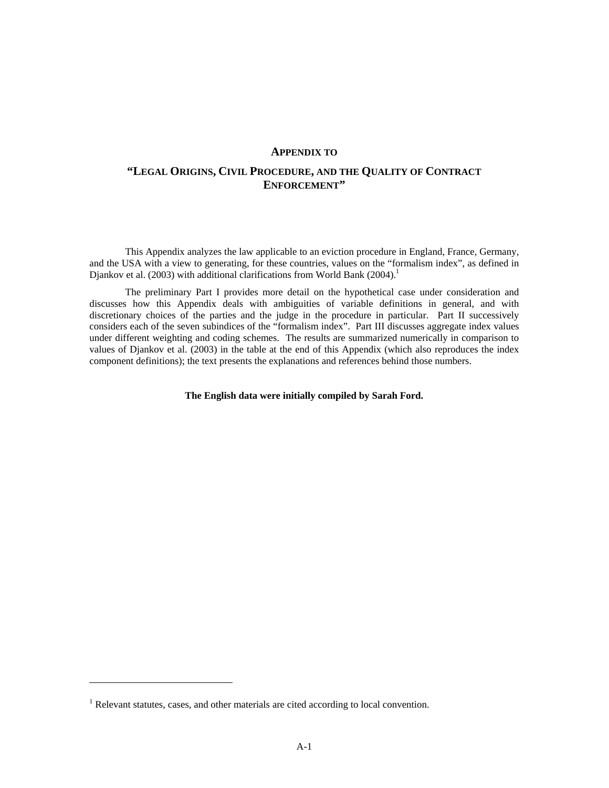#### **APPENDIX TO**

# **"LEGAL ORIGINS, CIVIL PROCEDURE, AND THE QUALITY OF CONTRACT ENFORCEMENT"**

This Appendix analyzes the law applicable to an eviction procedure in England, France, Germany, and the USA with a view to generating, for these countries, values on the "formalism index", as defined in Djankov et al. (2003) with additional clarifications from World Bank (2004).<sup>1</sup>

The preliminary Part I provides more detail on the hypothetical case under consideration and discusses how this Appendix deals with ambiguities of variable definitions in general, and with discretionary choices of the parties and the judge in the procedure in particular. Part II successively considers each of the seven subindices of the "formalism index". Part III discusses aggregate index values under different weighting and coding schemes. The results are summarized numerically in comparison to values of Djankov et al. (2003) in the table at the end of this Appendix (which also reproduces the index component definitions); the text presents the explanations and references behind those numbers.

**The English data were initially compiled by Sarah Ford.** 

-

 $<sup>1</sup>$  Relevant statutes, cases, and other materials are cited according to local convention.</sup>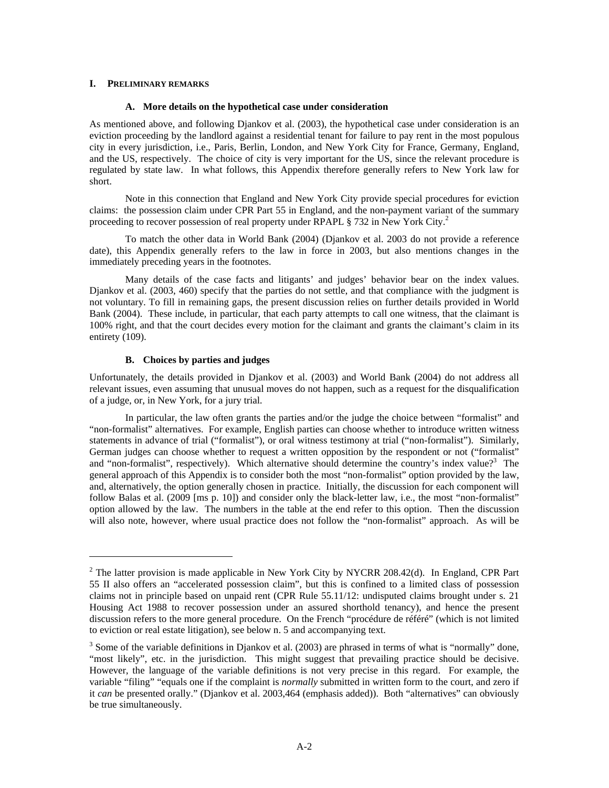### **I. PRELIMINARY REMARKS**

#### **A. More details on the hypothetical case under consideration**

As mentioned above, and following Djankov et al. (2003), the hypothetical case under consideration is an eviction proceeding by the landlord against a residential tenant for failure to pay rent in the most populous city in every jurisdiction, i.e., Paris, Berlin, London, and New York City for France, Germany, England, and the US, respectively. The choice of city is very important for the US, since the relevant procedure is regulated by state law. In what follows, this Appendix therefore generally refers to New York law for short.

Note in this connection that England and New York City provide special procedures for eviction claims: the possession claim under CPR Part 55 in England, and the non-payment variant of the summary proceeding to recover possession of real property under RPAPL  $\S 732$  in New York City.<sup>2</sup>

To match the other data in World Bank (2004) (Djankov et al. 2003 do not provide a reference date), this Appendix generally refers to the law in force in 2003, but also mentions changes in the immediately preceding years in the footnotes.

Many details of the case facts and litigants' and judges' behavior bear on the index values. Djankov et al. (2003, 460) specify that the parties do not settle, and that compliance with the judgment is not voluntary. To fill in remaining gaps, the present discussion relies on further details provided in World Bank (2004). These include, in particular, that each party attempts to call one witness, that the claimant is 100% right, and that the court decides every motion for the claimant and grants the claimant's claim in its entirety (109).

### **B. Choices by parties and judges**

-

Unfortunately, the details provided in Djankov et al. (2003) and World Bank (2004) do not address all relevant issues, even assuming that unusual moves do not happen, such as a request for the disqualification of a judge, or, in New York, for a jury trial.

In particular, the law often grants the parties and/or the judge the choice between "formalist" and "non-formalist" alternatives. For example, English parties can choose whether to introduce written witness statements in advance of trial ("formalist"), or oral witness testimony at trial ("non-formalist"). Similarly, German judges can choose whether to request a written opposition by the respondent or not ("formalist" and "non-formalist", respectively). Which alternative should determine the country's index value?<sup>3</sup> The general approach of this Appendix is to consider both the most "non-formalist" option provided by the law, and, alternatively, the option generally chosen in practice. Initially, the discussion for each component will follow Balas et al. (2009 [ms p. 10]) and consider only the black-letter law, i.e., the most "non-formalist" option allowed by the law. The numbers in the table at the end refer to this option. Then the discussion will also note, however, where usual practice does not follow the "non-formalist" approach. As will be

<sup>&</sup>lt;sup>2</sup> The latter provision is made applicable in New York City by NYCRR 208.42(d). In England, CPR Part 55 II also offers an "accelerated possession claim", but this is confined to a limited class of possession claims not in principle based on unpaid rent (CPR Rule 55.11/12: undisputed claims brought under s. 21 Housing Act 1988 to recover possession under an assured shorthold tenancy), and hence the present discussion refers to the more general procedure. On the French "procédure de référé" (which is not limited to eviction or real estate litigation), see below n. 5 and accompanying text.

 $3$  Some of the variable definitions in Djankov et al. (2003) are phrased in terms of what is "normally" done, "most likely", etc. in the jurisdiction. This might suggest that prevailing practice should be decisive. However, the language of the variable definitions is not very precise in this regard. For example, the variable "filing" "equals one if the complaint is *normally* submitted in written form to the court, and zero if it *can* be presented orally." (Djankov et al. 2003,464 (emphasis added)). Both "alternatives" can obviously be true simultaneously.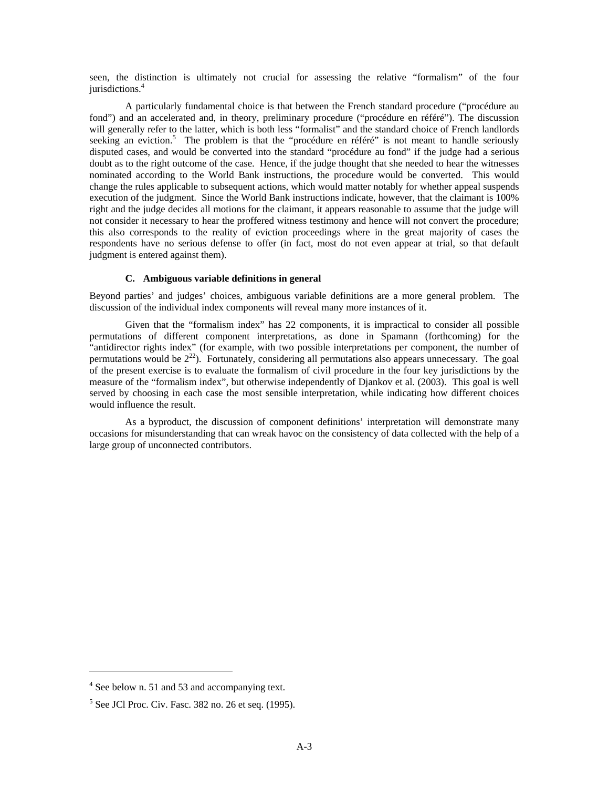seen, the distinction is ultimately not crucial for assessing the relative "formalism" of the four jurisdictions.<sup>4</sup>

A particularly fundamental choice is that between the French standard procedure ("procédure au fond") and an accelerated and, in theory, preliminary procedure ("procédure en référé"). The discussion will generally refer to the latter, which is both less "formalist" and the standard choice of French landlords seeking an eviction.<sup>5</sup> The problem is that the "procédure en référé" is not meant to handle seriously disputed cases, and would be converted into the standard "procédure au fond" if the judge had a serious doubt as to the right outcome of the case. Hence, if the judge thought that she needed to hear the witnesses nominated according to the World Bank instructions, the procedure would be converted. This would change the rules applicable to subsequent actions, which would matter notably for whether appeal suspends execution of the judgment. Since the World Bank instructions indicate, however, that the claimant is 100% right and the judge decides all motions for the claimant, it appears reasonable to assume that the judge will not consider it necessary to hear the proffered witness testimony and hence will not convert the procedure; this also corresponds to the reality of eviction proceedings where in the great majority of cases the respondents have no serious defense to offer (in fact, most do not even appear at trial, so that default judgment is entered against them).

#### **C. Ambiguous variable definitions in general**

Beyond parties' and judges' choices, ambiguous variable definitions are a more general problem. The discussion of the individual index components will reveal many more instances of it.

Given that the "formalism index" has 22 components, it is impractical to consider all possible permutations of different component interpretations, as done in Spamann (forthcoming) for the "antidirector rights index" (for example, with two possible interpretations per component, the number of permutations would be  $2^{22}$ ). Fortunately, considering all permutations also appears unnecessary. The goal of the present exercise is to evaluate the formalism of civil procedure in the four key jurisdictions by the measure of the "formalism index", but otherwise independently of Djankov et al. (2003). This goal is well served by choosing in each case the most sensible interpretation, while indicating how different choices would influence the result.

As a byproduct, the discussion of component definitions' interpretation will demonstrate many occasions for misunderstanding that can wreak havoc on the consistency of data collected with the help of a large group of unconnected contributors.

-

<sup>&</sup>lt;sup>4</sup> See below n. 51 and 53 and accompanying text.

 $<sup>5</sup>$  See JCl Proc. Civ. Fasc. 382 no. 26 et seq. (1995).</sup>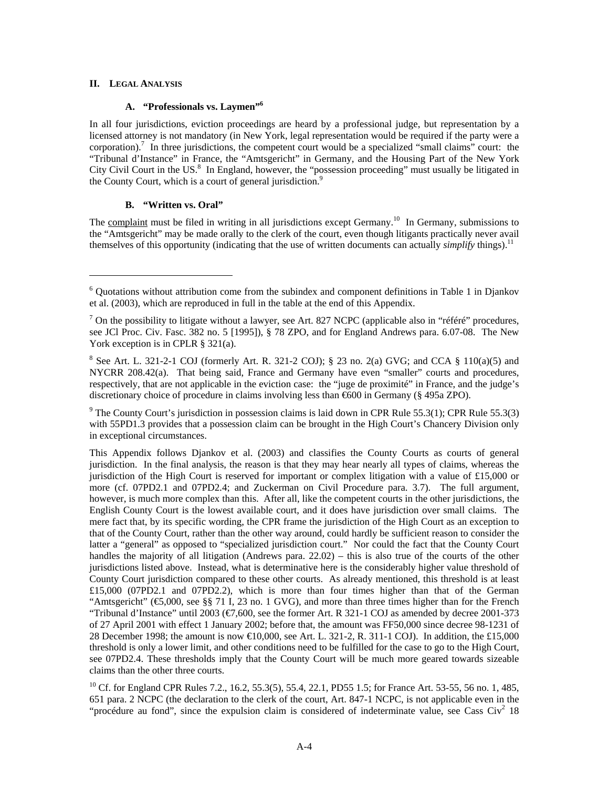### **II. LEGAL ANALYSIS**

 $\overline{a}$ 

### **A. "Professionals vs. Laymen"6**

In all four jurisdictions, eviction proceedings are heard by a professional judge, but representation by a licensed attorney is not mandatory (in New York, legal representation would be required if the party were a corporation).<sup>7</sup> In three jurisdictions, the competent court would be a specialized "small claims" court: the "Tribunal d'Instance" in France, the "Amtsgericht" in Germany, and the Housing Part of the New York City Civil Court in the US.<sup>8</sup> In England, however, the "possession proceeding" must usually be litigated in the County Court, which is a court of general jurisdiction.<sup>9</sup>

# **B. "Written vs. Oral"**

The complaint must be filed in writing in all jurisdictions except Germany.<sup>10</sup> In Germany, submissions to the "Amtsgericht" may be made orally to the clerk of the court, even though litigants practically never avail themselves of this opportunity (indicating that the use of written documents can actually *simplify* things).11

<sup>9</sup> The County Court's jurisdiction in possession claims is laid down in CPR Rule 55.3(1); CPR Rule 55.3(3) with 55PD1.3 provides that a possession claim can be brought in the High Court's Chancery Division only in exceptional circumstances.

This Appendix follows Djankov et al. (2003) and classifies the County Courts as courts of general jurisdiction. In the final analysis, the reason is that they may hear nearly all types of claims, whereas the jurisdiction of the High Court is reserved for important or complex litigation with a value of £15,000 or more (cf. 07PD2.1 and 07PD2.4; and Zuckerman on Civil Procedure para. 3.7). The full argument, however, is much more complex than this. After all, like the competent courts in the other jurisdictions, the English County Court is the lowest available court, and it does have jurisdiction over small claims. The mere fact that, by its specific wording, the CPR frame the jurisdiction of the High Court as an exception to that of the County Court, rather than the other way around, could hardly be sufficient reason to consider the latter a "general" as opposed to "specialized jurisdiction court." Nor could the fact that the County Court handles the majority of all litigation (Andrews para. 22.02) – this is also true of the courts of the other jurisdictions listed above. Instead, what is determinative here is the considerably higher value threshold of County Court jurisdiction compared to these other courts. As already mentioned, this threshold is at least £15,000 (07PD2.1 and 07PD2.2), which is more than four times higher than that of the German "Amtsgericht" ( $\bigoplus$ ,000, see §§ 71 I, 23 no. 1 GVG), and more than three times higher than for the French "Tribunal d'Instance" until 2003 (€7,600, see the former Art. R 321-1 COJ as amended by decree 2001-373 of 27 April 2001 with effect 1 January 2002; before that, the amount was FF50,000 since decree 98-1231 of 28 December 1998; the amount is now €10,000, see Art. L. 321-2, R. 311-1 COJ). In addition, the £15,000 threshold is only a lower limit, and other conditions need to be fulfilled for the case to go to the High Court, see 07PD2.4. These thresholds imply that the County Court will be much more geared towards sizeable claims than the other three courts.

<sup>10</sup> Cf. for England CPR Rules 7.2., 16.2, 55.3(5), 55.4, 22.1, PD55 1.5; for France Art. 53-55, 56 no. 1, 485, 651 para. 2 NCPC (the declaration to the clerk of the court, Art. 847-1 NCPC, is not applicable even in the "procédure au fond", since the expulsion claim is considered of indeterminate value, see Cass Civ<sup>2</sup> 18

<sup>&</sup>lt;sup>6</sup> Quotations without attribution come from the subindex and component definitions in Table 1 in Djankov et al. (2003), which are reproduced in full in the table at the end of this Appendix.

<sup>&</sup>lt;sup>7</sup> On the possibility to litigate without a lawyer, see Art. 827 NCPC (applicable also in "référé" procedures, see JCl Proc. Civ. Fasc. 382 no. 5 [1995]), § 78 ZPO, and for England Andrews para. 6.07-08. The New York exception is in CPLR § 321(a).

<sup>&</sup>lt;sup>8</sup> See Art. L. 321-2-1 COJ (formerly Art. R. 321-2 COJ); § 23 no. 2(a) GVG; and CCA § 110(a)(5) and NYCRR 208.42(a). That being said, France and Germany have even "smaller" courts and procedures, respectively, that are not applicable in the eviction case: the "juge de proximité" in France, and the judge's discretionary choice of procedure in claims involving less than €600 in Germany (§ 495a ZPO).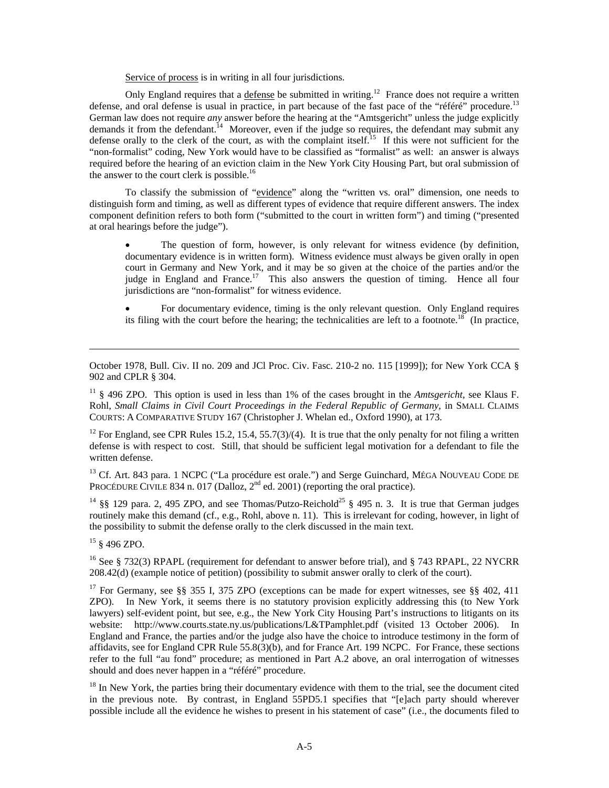Service of process is in writing in all four jurisdictions.

Only England requires that a defense be submitted in writing.<sup>12</sup> France does not require a written defense, and oral defense is usual in practice, in part because of the fast pace of the "référé" procedure.<sup>13</sup> German law does not require *any* answer before the hearing at the "Amtsgericht" unless the judge explicitly demands it from the defendant.<sup>14</sup> Moreover, even if the judge so requires, the defendant may submit any defense orally to the clerk of the court, as with the complaint itself.<sup>15</sup> If this were not sufficient for the "non-formalist" coding, New York would have to be classified as "formalist" as well: an answer is always required before the hearing of an eviction claim in the New York City Housing Part, but oral submission of the answer to the court clerk is possible.<sup>16</sup>

To classify the submission of "evidence" along the "written vs. oral" dimension, one needs to distinguish form and timing, as well as different types of evidence that require different answers. The index component definition refers to both form ("submitted to the court in written form") and timing ("presented at oral hearings before the judge").

The question of form, however, is only relevant for witness evidence (by definition, documentary evidence is in written form). Witness evidence must always be given orally in open court in Germany and New York, and it may be so given at the choice of the parties and/or the judge in England and France.<sup>17</sup> This also answers the question of timing. Hence all four jurisdictions are "non-formalist" for witness evidence.

• For documentary evidence, timing is the only relevant question. Only England requires its filing with the court before the hearing; the technicalities are left to a footnote.<sup>18</sup> (In practice,

October 1978, Bull. Civ. II no. 209 and JCl Proc. Civ. Fasc. 210-2 no. 115 [1999]); for New York CCA § 902 and CPLR § 304.

<sup>11</sup> § 496 ZPO. This option is used in less than 1% of the cases brought in the *Amtsgericht*, see Klaus F. Rohl, *Small Claims in Civil Court Proceedings in the Federal Republic of Germany*, in SMALL CLAIMS COURTS: A COMPARATIVE STUDY 167 (Christopher J. Whelan ed., Oxford 1990), at 173.

<sup>12</sup> For England, see CPR Rules 15.2, 15.4, 55.7(3)/(4). It is true that the only penalty for not filing a written defense is with respect to cost. Still, that should be sufficient legal motivation for a defendant to file the written defense.

<sup>13</sup> Cf. Art. 843 para. 1 NCPC ("La procédure est orale.") and Serge Guinchard, MÉGA NOUVEAU CODE DE PROCÉDURE CIVILE 834 n. 017 (Dalloz, 2<sup>nd</sup> ed. 2001) (reporting the oral practice).

<sup>14</sup> §§ 129 para. 2, 495 ZPO, and see Thomas/Putzo-Reichold<sup>25</sup> § 495 n. 3. It is true that German judges routinely make this demand (cf., e.g., Rohl, above n. 11). This is irrelevant for coding, however, in light of the possibility to submit the defense orally to the clerk discussed in the main text.

15 § 496 ZPO.

-

<sup>16</sup> See § 732(3) RPAPL (requirement for defendant to answer before trial), and § 743 RPAPL, 22 NYCRR 208.42(d) (example notice of petition) (possibility to submit answer orally to clerk of the court).

<sup>17</sup> For Germany, see §§ 355 I, 375 ZPO (exceptions can be made for expert witnesses, see §§ 402, 411 ZPO). In New York, it seems there is no statutory provision explicitly addressing this (to New York lawyers) self-evident point, but see, e.g., the New York City Housing Part's instructions to litigants on its website: http://www.courts.state.ny.us/publications/L&TPamphlet.pdf (visited 13 October 2006). In England and France, the parties and/or the judge also have the choice to introduce testimony in the form of affidavits, see for England CPR Rule 55.8(3)(b), and for France Art. 199 NCPC. For France, these sections refer to the full "au fond" procedure; as mentioned in Part A.2 above, an oral interrogation of witnesses should and does never happen in a "référé" procedure.

<sup>18</sup> In New York, the parties bring their documentary evidence with them to the trial, see the document cited in the previous note. By contrast, in England 55PD5.1 specifies that "[e]ach party should wherever possible include all the evidence he wishes to present in his statement of case" (i.e., the documents filed to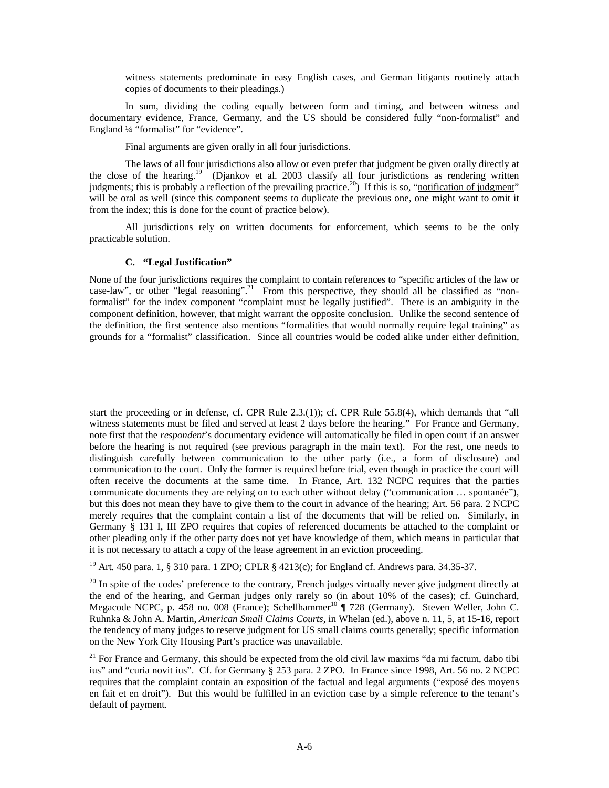witness statements predominate in easy English cases, and German litigants routinely attach copies of documents to their pleadings.)

In sum, dividing the coding equally between form and timing, and between witness and documentary evidence, France, Germany, and the US should be considered fully "non-formalist" and England 1/4 "formalist" for "evidence".

Final arguments are given orally in all four jurisdictions.

The laws of all four jurisdictions also allow or even prefer that judgment be given orally directly at the close of the hearing.<sup>19</sup> (Djankov et al. 2003 classify all four jurisdictions as rendering written judgments; this is probably a reflection of the prevailing practice.<sup>20</sup>) If this is so, "notification of judgment" will be oral as well (since this component seems to duplicate the previous one, one might want to omit it from the index; this is done for the count of practice below).

All jurisdictions rely on written documents for enforcement, which seems to be the only practicable solution.

#### **C. "Legal Justification"**

 $\overline{a}$ 

None of the four jurisdictions requires the complaint to contain references to "specific articles of the law or case-law", or other "legal reasoning".<sup>21</sup> From this perspective, they should all be classified as "nonformalist" for the index component "complaint must be legally justified". There is an ambiguity in the component definition, however, that might warrant the opposite conclusion. Unlike the second sentence of the definition, the first sentence also mentions "formalities that would normally require legal training" as grounds for a "formalist" classification. Since all countries would be coded alike under either definition,

19 Art. 450 para. 1, § 310 para. 1 ZPO; CPLR § 4213(c); for England cf. Andrews para. 34.35-37.

 $^{20}$  In spite of the codes' preference to the contrary, French judges virtually never give judgment directly at the end of the hearing, and German judges only rarely so (in about 10% of the cases); cf. Guinchard, Megacode NCPC, p. 458 no. 008 (France); Schellhammer<sup>10</sup> | 728 (Germany). Steven Weller, John C. Ruhnka & John A. Martin, *American Small Claims Courts*, in Whelan (ed.), above n. 11, 5, at 15-16, report the tendency of many judges to reserve judgment for US small claims courts generally; specific information on the New York City Housing Part's practice was unavailable.

start the proceeding or in defense, cf. CPR Rule 2.3.(1)); cf. CPR Rule 55.8(4), which demands that "all witness statements must be filed and served at least 2 days before the hearing." For France and Germany, note first that the *respondent*'s documentary evidence will automatically be filed in open court if an answer before the hearing is not required (see previous paragraph in the main text). For the rest, one needs to distinguish carefully between communication to the other party (i.e., a form of disclosure) and communication to the court. Only the former is required before trial, even though in practice the court will often receive the documents at the same time. In France, Art. 132 NCPC requires that the parties communicate documents they are relying on to each other without delay ("communication … spontanée"), but this does not mean they have to give them to the court in advance of the hearing; Art. 56 para. 2 NCPC merely requires that the complaint contain a list of the documents that will be relied on. Similarly, in Germany § 131 I, III ZPO requires that copies of referenced documents be attached to the complaint or other pleading only if the other party does not yet have knowledge of them, which means in particular that it is not necessary to attach a copy of the lease agreement in an eviction proceeding.

<sup>&</sup>lt;sup>21</sup> For France and Germany, this should be expected from the old civil law maxims "da mi factum, dabo tibi ius" and "curia novit ius". Cf. for Germany § 253 para. 2 ZPO. In France since 1998, Art. 56 no. 2 NCPC requires that the complaint contain an exposition of the factual and legal arguments ("exposé des moyens en fait et en droit"). But this would be fulfilled in an eviction case by a simple reference to the tenant's default of payment.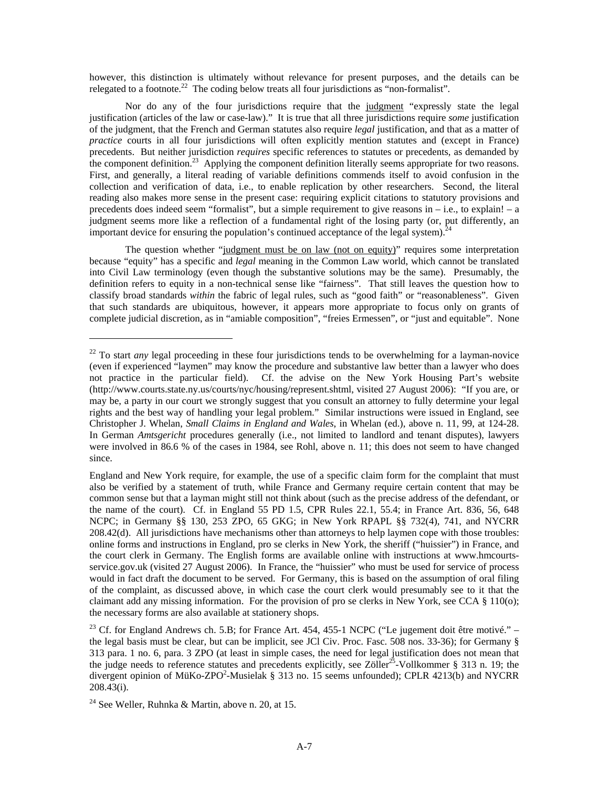however, this distinction is ultimately without relevance for present purposes, and the details can be relegated to a footnote.<sup>22</sup> The coding below treats all four jurisdictions as "non-formalist".

Nor do any of the four jurisdictions require that the judgment "expressly state the legal justification (articles of the law or case-law)." It is true that all three jurisdictions require *some* justification of the judgment, that the French and German statutes also require *legal* justification, and that as a matter of *practice* courts in all four jurisdictions will often explicitly mention statutes and (except in France) precedents. But neither jurisdiction *requires* specific references to statutes or precedents, as demanded by the component definition.<sup>23</sup> Applying the component definition literally seems appropriate for two reasons. First, and generally, a literal reading of variable definitions commends itself to avoid confusion in the collection and verification of data, i.e., to enable replication by other researchers. Second, the literal reading also makes more sense in the present case: requiring explicit citations to statutory provisions and precedents does indeed seem "formalist", but a simple requirement to give reasons in – i.e., to explain! – a judgment seems more like a reflection of a fundamental right of the losing party (or, put differently, an important device for ensuring the population's continued acceptance of the legal system).<sup>24</sup>

The question whether "judgment must be on law (not on equity)" requires some interpretation because "equity" has a specific and *legal* meaning in the Common Law world, which cannot be translated into Civil Law terminology (even though the substantive solutions may be the same). Presumably, the definition refers to equity in a non-technical sense like "fairness". That still leaves the question how to classify broad standards *within* the fabric of legal rules, such as "good faith" or "reasonableness". Given that such standards are ubiquitous, however, it appears more appropriate to focus only on grants of complete judicial discretion, as in "amiable composition", "freies Ermessen", or "just and equitable". None

-

<sup>&</sup>lt;sup>22</sup> To start *any* legal proceeding in these four jurisdictions tends to be overwhelming for a layman-novice (even if experienced "laymen" may know the procedure and substantive law better than a lawyer who does not practice in the particular field). Cf. the advise on the New York Housing Part's website (http://www.courts.state.ny.us/courts/nyc/housing/represent.shtml, visited 27 August 2006): "If you are, or may be, a party in our court we strongly suggest that you consult an attorney to fully determine your legal rights and the best way of handling your legal problem." Similar instructions were issued in England, see Christopher J. Whelan, *Small Claims in England and Wales*, in Whelan (ed.), above n. 11, 99, at 124-28. In German *Amtsgericht* procedures generally (i.e., not limited to landlord and tenant disputes), lawyers were involved in 86.6 % of the cases in 1984, see Rohl, above n. 11; this does not seem to have changed since.

England and New York require, for example, the use of a specific claim form for the complaint that must also be verified by a statement of truth, while France and Germany require certain content that may be common sense but that a layman might still not think about (such as the precise address of the defendant, or the name of the court). Cf. in England 55 PD 1.5, CPR Rules 22.1, 55.4; in France Art. 836, 56, 648 NCPC; in Germany §§ 130, 253 ZPO, 65 GKG; in New York RPAPL §§ 732(4), 741, and NYCRR 208.42(d). All jurisdictions have mechanisms other than attorneys to help laymen cope with those troubles: online forms and instructions in England, pro se clerks in New York, the sheriff ("huissier") in France, and the court clerk in Germany. The English forms are available online with instructions at www.hmcourtsservice.gov.uk (visited 27 August 2006). In France, the "huissier" who must be used for service of process would in fact draft the document to be served. For Germany, this is based on the assumption of oral filing of the complaint, as discussed above, in which case the court clerk would presumably see to it that the claimant add any missing information. For the provision of pro se clerks in New York, see CCA § 110(o); the necessary forms are also available at stationery shops.

<sup>&</sup>lt;sup>23</sup> Cf. for England Andrews ch. 5.B; for France Art. 454, 455-1 NCPC ("Le jugement doit être motivé." – the legal basis must be clear, but can be implicit, see JCl Civ. Proc. Fasc. 508 nos. 33-36); for Germany § 313 para. 1 no. 6, para. 3 ZPO (at least in simple cases, the need for legal justification does not mean that the judge needs to reference statutes and precedents explicitly, see Zöller<sup>25</sup>-Vollkommer § 313 n. 19; the divergent opinion of MüKo-ZPO<sup>2</sup>-Musielak § 313 no. 15 seems unfounded); CPLR 4213(b) and NYCRR 208.43(i).

<sup>&</sup>lt;sup>24</sup> See Weller, Ruhnka & Martin, above n. 20, at 15.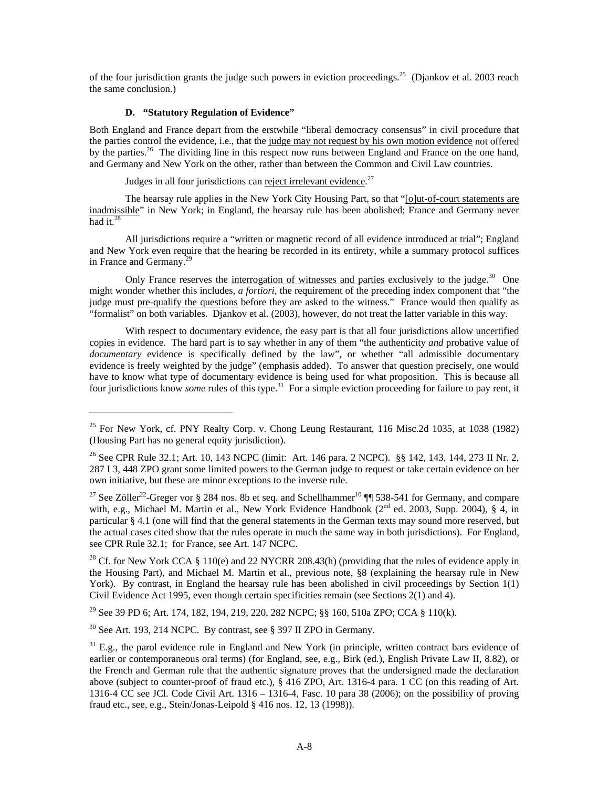of the four jurisdiction grants the judge such powers in eviction proceedings.<sup>25</sup> (Djankov et al. 2003 reach the same conclusion.)

### **D. "Statutory Regulation of Evidence"**

-

Both England and France depart from the erstwhile "liberal democracy consensus" in civil procedure that the parties control the evidence, i.e., that the judge may not request by his own motion evidence not offered by the parties.<sup>26</sup> The dividing line in this respect now runs between England and France on the one hand, and Germany and New York on the other, rather than between the Common and Civil Law countries.

Judges in all four jurisdictions can reject irrelevant evidence.<sup>27</sup>

The hearsay rule applies in the New York City Housing Part, so that "[o]ut-of-court statements are inadmissible" in New York; in England, the hearsay rule has been abolished; France and Germany never had it. $28$ 

All jurisdictions require a "written or magnetic record of all evidence introduced at trial"; England and New York even require that the hearing be recorded in its entirety, while a summary protocol suffices in France and Germany.<sup>29</sup>

Only France reserves the interrogation of witnesses and parties exclusively to the judge.<sup>30</sup> One might wonder whether this includes, *a fortiori*, the requirement of the preceding index component that "the judge must pre-qualify the questions before they are asked to the witness." France would then qualify as "formalist" on both variables. Djankov et al. (2003), however, do not treat the latter variable in this way.

With respect to documentary evidence, the easy part is that all four jurisdictions allow uncertified copies in evidence. The hard part is to say whether in any of them "the authenticity *and* probative value of *documentary* evidence is specifically defined by the law", or whether "all admissible documentary evidence is freely weighted by the judge" (emphasis added). To answer that question precisely, one would have to know what type of documentary evidence is being used for what proposition. This is because all four jurisdictions know *some* rules of this type.<sup>31</sup> For a simple eviction proceeding for failure to pay rent, it

<sup>28</sup> Cf. for New York CCA § 110(e) and 22 NYCRR 208.43(h) (providing that the rules of evidence apply in the Housing Part), and Michael M. Martin et al., previous note, §8 (explaining the hearsay rule in New York). By contrast, in England the hearsay rule has been abolished in civil proceedings by Section 1(1) Civil Evidence Act 1995, even though certain specificities remain (see Sections 2(1) and 4).

29 See 39 PD 6; Art. 174, 182, 194, 219, 220, 282 NCPC; §§ 160, 510a ZPO; CCA § 110(k).

 $30$  See Art. 193, 214 NCPC. By contrast, see § 397 II ZPO in Germany.

<sup>&</sup>lt;sup>25</sup> For New York, cf. PNY Realty Corp. v. Chong Leung Restaurant, 116 Misc. 2d 1035, at 1038 (1982) (Housing Part has no general equity jurisdiction).

<sup>&</sup>lt;sup>26</sup> See CPR Rule 32.1; Art. 10, 143 NCPC (limit: Art. 146 para. 2 NCPC). §§ 142, 143, 144, 273 II Nr. 2, 287 I 3, 448 ZPO grant some limited powers to the German judge to request or take certain evidence on her own initiative, but these are minor exceptions to the inverse rule.

<sup>&</sup>lt;sup>27</sup> See Zöller<sup>22</sup>-Greger vor § 284 nos. 8b et seq. and Schellhammer<sup>10</sup>  $\P$  538-541 for Germany, and compare with, e.g., Michael M. Martin et al., New York Evidence Handbook (2<sup>nd</sup> ed. 2003, Supp. 2004), § 4, in particular § 4.1 (one will find that the general statements in the German texts may sound more reserved, but the actual cases cited show that the rules operate in much the same way in both jurisdictions). For England, see CPR Rule 32.1; for France, see Art. 147 NCPC.

 $31$  E.g., the parol evidence rule in England and New York (in principle, written contract bars evidence of earlier or contemporaneous oral terms) (for England, see, e.g., Birk (ed.), English Private Law II, 8.82), or the French and German rule that the authentic signature proves that the undersigned made the declaration above (subject to counter-proof of fraud etc.), § 416 ZPO, Art. 1316-4 para. 1 CC (on this reading of Art. 1316-4 CC see JCl. Code Civil Art. 1316 – 1316-4, Fasc. 10 para 38 (2006); on the possibility of proving fraud etc., see, e.g., Stein/Jonas-Leipold § 416 nos. 12, 13 (1998)).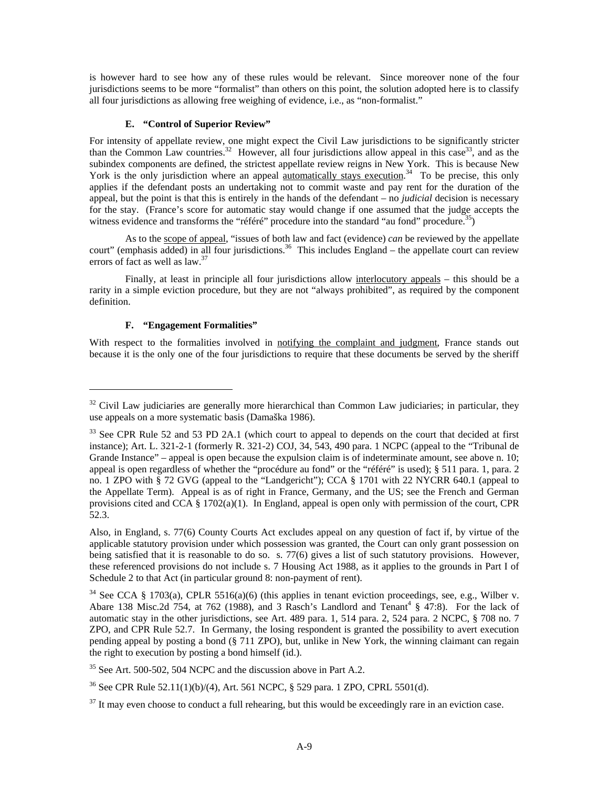is however hard to see how any of these rules would be relevant. Since moreover none of the four jurisdictions seems to be more "formalist" than others on this point, the solution adopted here is to classify all four jurisdictions as allowing free weighing of evidence, i.e., as "non-formalist."

### **E. "Control of Superior Review"**

For intensity of appellate review, one might expect the Civil Law jurisdictions to be significantly stricter than the Common Law countries.<sup>32</sup> However, all four jurisdictions allow appeal in this case<sup>33</sup>, and as the subindex components are defined, the strictest appellate review reigns in New York. This is because New York is the only jurisdiction where an appeal <u>automatically stays execution</u>.<sup>34</sup> To be precise, this only applies if the defendant posts an undertaking not to commit waste and pay rent for the duration of the appeal, but the point is that this is entirely in the hands of the defendant – no *judicial* decision is necessary for the stay. (France's score for automatic stay would change if one assumed that the judge accepts the witness evidence and transforms the "référé" procedure into the standard "au fond" procedure.<sup>35</sup>)

As to the scope of appeal, "issues of both law and fact (evidence) *can* be reviewed by the appellate court" (emphasis added) in all four jurisdictions.<sup>36</sup> This includes England – the appellate court can review errors of fact as well as law.<sup>37</sup>

Finally, at least in principle all four jurisdictions allow interlocutory appeals – this should be a rarity in a simple eviction procedure, but they are not "always prohibited", as required by the component definition.

### **F. "Engagement Formalities"**

 $\overline{a}$ 

With respect to the formalities involved in notifying the complaint and judgment, France stands out because it is the only one of the four jurisdictions to require that these documents be served by the sheriff

<sup>&</sup>lt;sup>32</sup> Civil Law judiciaries are generally more hierarchical than Common Law judiciaries; in particular, they use appeals on a more systematic basis (Damaška 1986).

 $33$  See CPR Rule 52 and 53 PD 2A.1 (which court to appeal to depends on the court that decided at first instance); Art. L. 321-2-1 (formerly R. 321-2) COJ, 34, 543, 490 para. 1 NCPC (appeal to the "Tribunal de Grande Instance" – appeal is open because the expulsion claim is of indeterminate amount, see above n. 10; appeal is open regardless of whether the "procédure au fond" or the "référé" is used); § 511 para. 1, para. 2 no. 1 ZPO with § 72 GVG (appeal to the "Landgericht"); CCA § 1701 with 22 NYCRR 640.1 (appeal to the Appellate Term). Appeal is as of right in France, Germany, and the US; see the French and German provisions cited and CCA  $\S 1702(a)(1)$ . In England, appeal is open only with permission of the court, CPR 52.3.

Also, in England, s. 77(6) County Courts Act excludes appeal on any question of fact if, by virtue of the applicable statutory provision under which possession was granted, the Court can only grant possession on being satisfied that it is reasonable to do so. s. 77(6) gives a list of such statutory provisions. However, these referenced provisions do not include s. 7 Housing Act 1988, as it applies to the grounds in Part I of Schedule 2 to that Act (in particular ground 8: non-payment of rent).

<sup>&</sup>lt;sup>34</sup> See CCA § 1703(a), CPLR 5516(a)(6) (this applies in tenant eviction proceedings, see, e.g., Wilber v. Abare 138 Misc.2d 754, at 762 (1988), and 3 Rasch's Landlord and Tenant<sup>4</sup>  $§$  47:8). For the lack of automatic stay in the other jurisdictions, see Art. 489 para. 1, 514 para. 2, 524 para. 2 NCPC, § 708 no. 7 ZPO, and CPR Rule 52.7. In Germany, the losing respondent is granted the possibility to avert execution pending appeal by posting a bond (§ 711 ZPO), but, unlike in New York, the winning claimant can regain the right to execution by posting a bond himself (id.).

 $35$  See Art. 500-502, 504 NCPC and the discussion above in Part A.2.

<sup>&</sup>lt;sup>36</sup> See CPR Rule 52.11(1)(b)/(4), Art. 561 NCPC, § 529 para. 1 ZPO, CPRL 5501(d).

 $37$  It may even choose to conduct a full rehearing, but this would be exceedingly rare in an eviction case.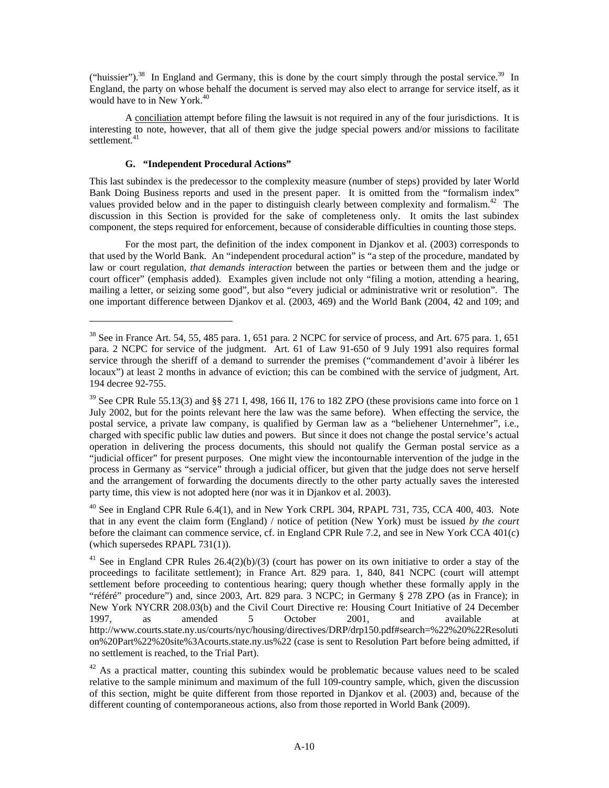("huissier").<sup>38</sup> In England and Germany, this is done by the court simply through the postal service.<sup>39</sup> In England, the party on whose behalf the document is served may also elect to arrange for service itself, as it would have to in New York.<sup>40</sup>

A conciliation attempt before filing the lawsuit is not required in any of the four jurisdictions. It is interesting to note, however, that all of them give the judge special powers and/or missions to facilitate settlement.<sup>41</sup>

# **G. "Independent Procedural Actions"**

 $\overline{a}$ 

This last subindex is the predecessor to the complexity measure (number of steps) provided by later World Bank Doing Business reports and used in the present paper. It is omitted from the "formalism index" values provided below and in the paper to distinguish clearly between complexity and formalism.<sup>42</sup> The discussion in this Section is provided for the sake of completeness only. It omits the last subindex component, the steps required for enforcement, because of considerable difficulties in counting those steps.

For the most part, the definition of the index component in Djankov et al. (2003) corresponds to that used by the World Bank. An "independent procedural action" is "a step of the procedure, mandated by law or court regulation, *that demands interaction* between the parties or between them and the judge or court officer" (emphasis added). Examples given include not only "filing a motion, attending a hearing, mailing a letter, or seizing some good", but also "every judicial or administrative writ or resolution". The one important difference between Djankov et al. (2003, 469) and the World Bank (2004, 42 and 109; and

 $40$  See in England CPR Rule 6.4(1), and in New York CRPL 304, RPAPL 731, 735, CCA 400, 403. Note that in any event the claim form (England) / notice of petition (New York) must be issued *by the court* before the claimant can commence service, cf. in England CPR Rule 7.2, and see in New York CCA 401(c) (which supersedes RPAPL 731(1)).

<sup>41</sup> See in England CPR Rules  $26.4(2)(b)/(3)$  (court has power on its own initiative to order a stay of the proceedings to facilitate settlement); in France Art. 829 para. 1, 840, 841 NCPC (court will attempt settlement before proceeding to contentious hearing; query though whether these formally apply in the "référé" procedure") and, since 2003, Art. 829 para. 3 NCPC; in Germany § 278 ZPO (as in France); in New York NYCRR 208.03(b) and the Civil Court Directive re: Housing Court Initiative of 24 December 1997, as amended 5 October 2001, and available at http://www.courts.state.ny.us/courts/nyc/housing/directives/DRP/drp150.pdf#search=%22%20%22Resoluti on%20Part%22%20site%3Acourts.state.ny.us%22 (case is sent to Resolution Part before being admitted, if no settlement is reached, to the Trial Part).

 $42$  As a practical matter, counting this subindex would be problematic because values need to be scaled relative to the sample minimum and maximum of the full 109-country sample, which, given the discussion of this section, might be quite different from those reported in Djankov et al. (2003) and, because of the different counting of contemporaneous actions, also from those reported in World Bank (2009).

<sup>&</sup>lt;sup>38</sup> See in France Art. 54, 55, 485 para. 1, 651 para. 2 NCPC for service of process, and Art. 675 para. 1, 651 para. 2 NCPC for service of the judgment. Art. 61 of Law 91-650 of 9 July 1991 also requires formal service through the sheriff of a demand to surrender the premises ("commandement d'avoir à libérer les locaux") at least 2 months in advance of eviction; this can be combined with the service of judgment, Art. 194 decree 92-755.

<sup>&</sup>lt;sup>39</sup> See CPR Rule 55.13(3) and §§ 271 I, 498, 166 II, 176 to 182 ZPO (these provisions came into force on 1 July 2002, but for the points relevant here the law was the same before). When effecting the service, the postal service, a private law company, is qualified by German law as a "beliehener Unternehmer", i.e., charged with specific public law duties and powers. But since it does not change the postal service's actual operation in delivering the process documents, this should not qualify the German postal service as a "judicial officer" for present purposes. One might view the incontournable intervention of the judge in the process in Germany as "service" through a judicial officer, but given that the judge does not serve herself and the arrangement of forwarding the documents directly to the other party actually saves the interested party time, this view is not adopted here (nor was it in Djankov et al. 2003).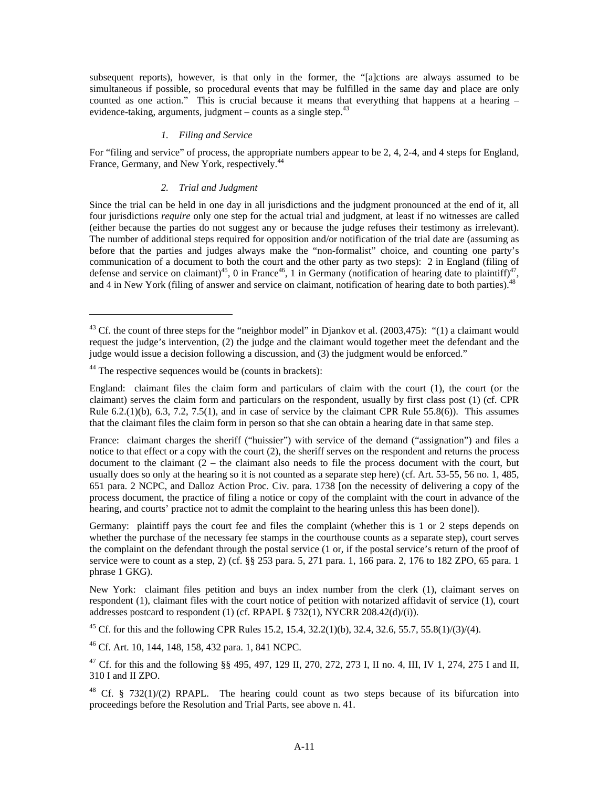subsequent reports), however, is that only in the former, the "[a]ctions are always assumed to be simultaneous if possible, so procedural events that may be fulfilled in the same day and place are only counted as one action." This is crucial because it means that everything that happens at a hearing – evidence-taking, arguments, judgment – counts as a single step.  $43$ 

#### *1. Filing and Service*

For "filing and service" of process, the appropriate numbers appear to be 2, 4, 2-4, and 4 steps for England, France, Germany, and New York, respectively.<sup>44</sup>

# *2. Trial and Judgment*

Since the trial can be held in one day in all jurisdictions and the judgment pronounced at the end of it, all four jurisdictions *require* only one step for the actual trial and judgment, at least if no witnesses are called (either because the parties do not suggest any or because the judge refuses their testimony as irrelevant). The number of additional steps required for opposition and/or notification of the trial date are (assuming as before that the parties and judges always make the "non-formalist" choice, and counting one party's communication of a document to both the court and the other party as two steps): 2 in England (filing of defense and service on claimant)<sup>45</sup>, 0 in France<sup>46</sup>, 1 in Germany (notification of hearing date to plaintiff)<sup>4</sup> and 4 in New York (filing of answer and service on claimant, notification of hearing date to both parties).<sup>48</sup>

-

45 Cf. for this and the following CPR Rules 15.2, 15.4, 32.2(1)(b), 32.4, 32.6, 55.7, 55.8(1)/(3)/(4).

46 Cf. Art. 10, 144, 148, 158, 432 para. 1, 841 NCPC.

<sup>&</sup>lt;sup>43</sup> Cf. the count of three steps for the "neighbor model" in Diankov et al. (2003,475): "(1) a claimant would request the judge's intervention, (2) the judge and the claimant would together meet the defendant and the judge would issue a decision following a discussion, and (3) the judgment would be enforced."

<sup>&</sup>lt;sup>44</sup> The respective sequences would be (counts in brackets):

England: claimant files the claim form and particulars of claim with the court (1), the court (or the claimant) serves the claim form and particulars on the respondent, usually by first class post (1) (cf. CPR Rule 6.2.(1)(b), 6.3, 7.2, 7.5(1), and in case of service by the claimant CPR Rule 55.8(6)). This assumes that the claimant files the claim form in person so that she can obtain a hearing date in that same step.

France: claimant charges the sheriff ("huissier") with service of the demand ("assignation") and files a notice to that effect or a copy with the court (2), the sheriff serves on the respondent and returns the process document to the claimant  $(2 -$  the claimant also needs to file the process document with the court, but usually does so only at the hearing so it is not counted as a separate step here) (cf. Art. 53-55, 56 no. 1, 485, 651 para. 2 NCPC, and Dalloz Action Proc. Civ. para. 1738 [on the necessity of delivering a copy of the process document, the practice of filing a notice or copy of the complaint with the court in advance of the hearing, and courts' practice not to admit the complaint to the hearing unless this has been done]).

Germany: plaintiff pays the court fee and files the complaint (whether this is 1 or 2 steps depends on whether the purchase of the necessary fee stamps in the courthouse counts as a separate step), court serves the complaint on the defendant through the postal service (1 or, if the postal service's return of the proof of service were to count as a step, 2) (cf. §§ 253 para. 5, 271 para. 1, 166 para. 2, 176 to 182 ZPO, 65 para. 1 phrase 1 GKG).

New York: claimant files petition and buys an index number from the clerk (1), claimant serves on respondent (1), claimant files with the court notice of petition with notarized affidavit of service (1), court addresses postcard to respondent (1) (cf. RPAPL  $\S$  732(1), NYCRR 208.42(d)/(i)).

<sup>&</sup>lt;sup>47</sup> Cf. for this and the following §§ 495, 497, 129 II, 270, 272, 273 I, II no. 4, III, IV 1, 274, 275 I and II, 310 I and II ZPO.

<sup>&</sup>lt;sup>48</sup> Cf. § 732(1)/(2) RPAPL. The hearing could count as two steps because of its bifurcation into proceedings before the Resolution and Trial Parts, see above n. 41.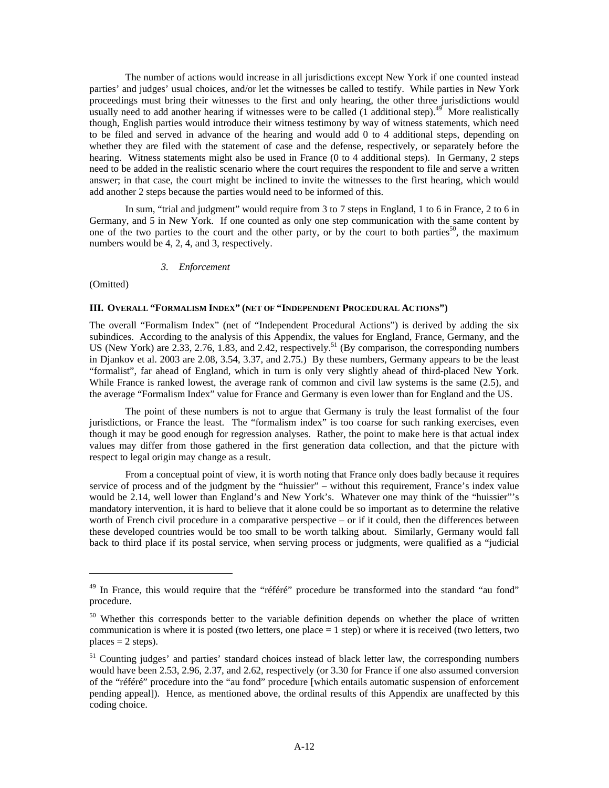The number of actions would increase in all jurisdictions except New York if one counted instead parties' and judges' usual choices, and/or let the witnesses be called to testify. While parties in New York proceedings must bring their witnesses to the first and only hearing, the other three jurisdictions would usually need to add another hearing if witnesses were to be called  $(1 \text{ additional step})$ .<sup>49</sup> More realistically though, English parties would introduce their witness testimony by way of witness statements, which need to be filed and served in advance of the hearing and would add 0 to 4 additional steps, depending on whether they are filed with the statement of case and the defense, respectively, or separately before the hearing. Witness statements might also be used in France (0 to 4 additional steps). In Germany, 2 steps need to be added in the realistic scenario where the court requires the respondent to file and serve a written answer; in that case, the court might be inclined to invite the witnesses to the first hearing, which would add another 2 steps because the parties would need to be informed of this.

In sum, "trial and judgment" would require from 3 to 7 steps in England, 1 to 6 in France, 2 to 6 in Germany, and 5 in New York. If one counted as only one step communication with the same content by one of the two parties to the court and the other party, or by the court to both parties<sup>50</sup>, the maximum numbers would be 4, 2, 4, and 3, respectively.

#### *3. Enforcement*

(Omitted)

 $\overline{a}$ 

#### **III. OVERALL "FORMALISM INDEX" (NET OF "INDEPENDENT PROCEDURAL ACTIONS")**

The overall "Formalism Index" (net of "Independent Procedural Actions") is derived by adding the six subindices. According to the analysis of this Appendix, the values for England, France, Germany, and the US (New York) are 2.33, 2.76, 1.83, and 2.42, respectively.<sup>51</sup> (By comparison, the corresponding numbers in Djankov et al. 2003 are 2.08, 3.54, 3.37, and 2.75.) By these numbers, Germany appears to be the least "formalist", far ahead of England, which in turn is only very slightly ahead of third-placed New York. While France is ranked lowest, the average rank of common and civil law systems is the same (2.5), and the average "Formalism Index" value for France and Germany is even lower than for England and the US.

The point of these numbers is not to argue that Germany is truly the least formalist of the four jurisdictions, or France the least. The "formalism index" is too coarse for such ranking exercises, even though it may be good enough for regression analyses. Rather, the point to make here is that actual index values may differ from those gathered in the first generation data collection, and that the picture with respect to legal origin may change as a result.

From a conceptual point of view, it is worth noting that France only does badly because it requires service of process and of the judgment by the "huissier" – without this requirement, France's index value would be 2.14, well lower than England's and New York's. Whatever one may think of the "huissier"'s mandatory intervention, it is hard to believe that it alone could be so important as to determine the relative worth of French civil procedure in a comparative perspective – or if it could, then the differences between these developed countries would be too small to be worth talking about. Similarly, Germany would fall back to third place if its postal service, when serving process or judgments, were qualified as a "judicial

 $49$  In France, this would require that the "référé" procedure be transformed into the standard "au fond" procedure.

<sup>&</sup>lt;sup>50</sup> Whether this corresponds better to the variable definition depends on whether the place of written communication is where it is posted (two letters, one place  $= 1$  step) or where it is received (two letters, two  $places = 2 steps)$ .

<sup>&</sup>lt;sup>51</sup> Counting judges' and parties' standard choices instead of black letter law, the corresponding numbers would have been 2.53, 2.96, 2.37, and 2.62, respectively (or 3.30 for France if one also assumed conversion of the "référé" procedure into the "au fond" procedure [which entails automatic suspension of enforcement pending appeal]). Hence, as mentioned above, the ordinal results of this Appendix are unaffected by this coding choice.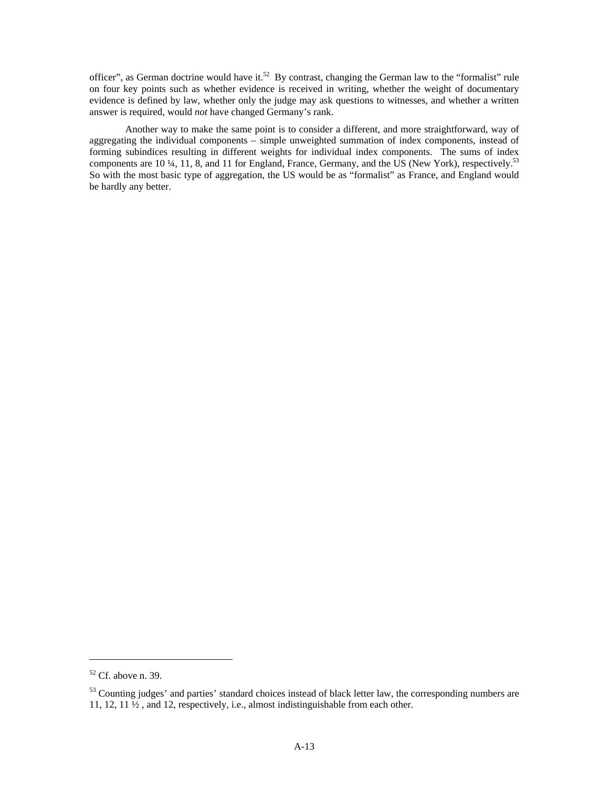officer", as German doctrine would have it.<sup>52</sup> By contrast, changing the German law to the "formalist" rule on four key points such as whether evidence is received in writing, whether the weight of documentary evidence is defined by law, whether only the judge may ask questions to witnesses, and whether a written answer is required, would *not* have changed Germany's rank.

Another way to make the same point is to consider a different, and more straightforward, way of aggregating the individual components – simple unweighted summation of index components, instead of forming subindices resulting in different weights for individual index components. The sums of index components are 10 ¼, 11, 8, and 11 for England, France, Germany, and the US (New York), respectively.<sup>53</sup> So with the most basic type of aggregation, the US would be as "formalist" as France, and England would be hardly any better.

 $\overline{a}$ 

 $52$  Cf. above n. 39.

<sup>&</sup>lt;sup>53</sup> Counting judges' and parties' standard choices instead of black letter law, the corresponding numbers are 11, 12, 11 ½ , and 12, respectively, i.e., almost indistinguishable from each other.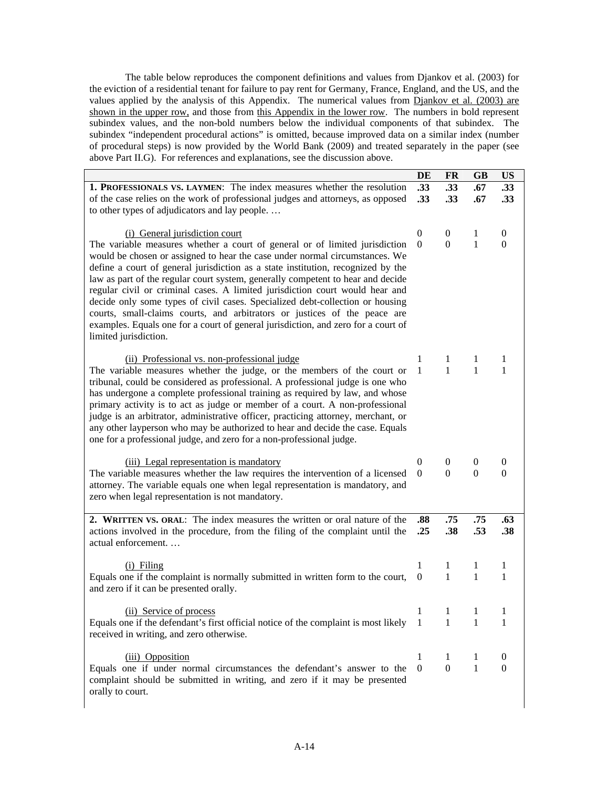The table below reproduces the component definitions and values from Djankov et al. (2003) for the eviction of a residential tenant for failure to pay rent for Germany, France, England, and the US, and the values applied by the analysis of this Appendix. The numerical values from Djankov et al. (2003) are shown in the upper row, and those from this Appendix in the lower row. The numbers in bold represent subindex values, and the non-bold numbers below the individual components of that subindex. The subindex "independent procedural actions" is omitted, because improved data on a similar index (number of procedural steps) is now provided by the World Bank (2009) and treated separately in the paper (see above Part II.G). For references and explanations, see the discussion above.

|                                                                                                                                                                                                                                                                                                                                                                                                                                                                                                                                                                                                                                                                                               | DE               | <b>FR</b>                                | <b>GB</b>    | <b>US</b>        |
|-----------------------------------------------------------------------------------------------------------------------------------------------------------------------------------------------------------------------------------------------------------------------------------------------------------------------------------------------------------------------------------------------------------------------------------------------------------------------------------------------------------------------------------------------------------------------------------------------------------------------------------------------------------------------------------------------|------------------|------------------------------------------|--------------|------------------|
| <b>1. PROFESSIONALS VS. LAYMEN:</b> The index measures whether the resolution                                                                                                                                                                                                                                                                                                                                                                                                                                                                                                                                                                                                                 | .33              | .33                                      | .67          | .33              |
| of the case relies on the work of professional judges and attorneys, as opposed                                                                                                                                                                                                                                                                                                                                                                                                                                                                                                                                                                                                               | .33              | .33                                      | .67          | .33              |
| to other types of adjudicators and lay people                                                                                                                                                                                                                                                                                                                                                                                                                                                                                                                                                                                                                                                 |                  |                                          |              |                  |
|                                                                                                                                                                                                                                                                                                                                                                                                                                                                                                                                                                                                                                                                                               |                  |                                          |              |                  |
| (i) General jurisdiction court                                                                                                                                                                                                                                                                                                                                                                                                                                                                                                                                                                                                                                                                | $\mathbf{0}$     | $\boldsymbol{0}$                         | 1            | $\theta$         |
| The variable measures whether a court of general or of limited jurisdiction<br>would be chosen or assigned to hear the case under normal circumstances. We<br>define a court of general jurisdiction as a state institution, recognized by the<br>law as part of the regular court system, generally competent to hear and decide<br>regular civil or criminal cases. A limited jurisdiction court would hear and<br>decide only some types of civil cases. Specialized debt-collection or housing<br>courts, small-claims courts, and arbitrators or justices of the peace are<br>examples. Equals one for a court of general jurisdiction, and zero for a court of<br>limited jurisdiction. | $\theta$         | $\mathbf{0}$                             | 1            | $\mathbf{0}$     |
| (ii) Professional vs. non-professional judge                                                                                                                                                                                                                                                                                                                                                                                                                                                                                                                                                                                                                                                  | 1                | 1                                        | 1            | 1                |
| The variable measures whether the judge, or the members of the court or<br>tribunal, could be considered as professional. A professional judge is one who<br>has undergone a complete professional training as required by law, and whose<br>primary activity is to act as judge or member of a court. A non-professional<br>judge is an arbitrator, administrative officer, practicing attorney, merchant, or<br>any other layperson who may be authorized to hear and decide the case. Equals<br>one for a professional judge, and zero for a non-professional judge.                                                                                                                       | $\mathbf{1}$     | $\mathbf{1}$                             | 1            | 1                |
| (iii) Legal representation is mandatory                                                                                                                                                                                                                                                                                                                                                                                                                                                                                                                                                                                                                                                       | 0                | $\mathbf{0}$                             | $\theta$     | $\bf{0}$         |
| The variable measures whether the law requires the intervention of a licensed                                                                                                                                                                                                                                                                                                                                                                                                                                                                                                                                                                                                                 | $\overline{0}$   | $\mathbf{0}$                             | $\theta$     | $\mathbf{0}$     |
| attorney. The variable equals one when legal representation is mandatory, and<br>zero when legal representation is not mandatory.                                                                                                                                                                                                                                                                                                                                                                                                                                                                                                                                                             |                  |                                          |              |                  |
| 2. WRITTEN VS. ORAL: The index measures the written or oral nature of the                                                                                                                                                                                                                                                                                                                                                                                                                                                                                                                                                                                                                     | .88              | .75                                      | .75          | .63              |
| actions involved in the procedure, from the filing of the complaint until the<br>actual enforcement                                                                                                                                                                                                                                                                                                                                                                                                                                                                                                                                                                                           | .25              | .38                                      | .53          | .38              |
| $(i)$ Filing                                                                                                                                                                                                                                                                                                                                                                                                                                                                                                                                                                                                                                                                                  | 1                | 1                                        | 1            | 1                |
| Equals one if the complaint is normally submitted in written form to the court,                                                                                                                                                                                                                                                                                                                                                                                                                                                                                                                                                                                                               | $\overline{0}$   | 1                                        | 1            | 1                |
| and zero if it can be presented orally.                                                                                                                                                                                                                                                                                                                                                                                                                                                                                                                                                                                                                                                       |                  |                                          |              |                  |
| (ii) Service of process                                                                                                                                                                                                                                                                                                                                                                                                                                                                                                                                                                                                                                                                       | $\mathbf{1}$     | $\begin{array}{ccc} -1 & -1 \end{array}$ |              |                  |
| Equals one if the defendant's first official notice of the complaint is most likely 1<br>received in writing, and zero otherwise.                                                                                                                                                                                                                                                                                                                                                                                                                                                                                                                                                             |                  | 1                                        | 1            | 1                |
| (iii) Opposition                                                                                                                                                                                                                                                                                                                                                                                                                                                                                                                                                                                                                                                                              | 1                | 1                                        | 1            | $\theta$         |
| Equals one if under normal circumstances the defendant's answer to the                                                                                                                                                                                                                                                                                                                                                                                                                                                                                                                                                                                                                        | $\boldsymbol{0}$ | $\boldsymbol{0}$                         | $\mathbf{1}$ | $\boldsymbol{0}$ |
| complaint should be submitted in writing, and zero if it may be presented<br>orally to court.                                                                                                                                                                                                                                                                                                                                                                                                                                                                                                                                                                                                 |                  |                                          |              |                  |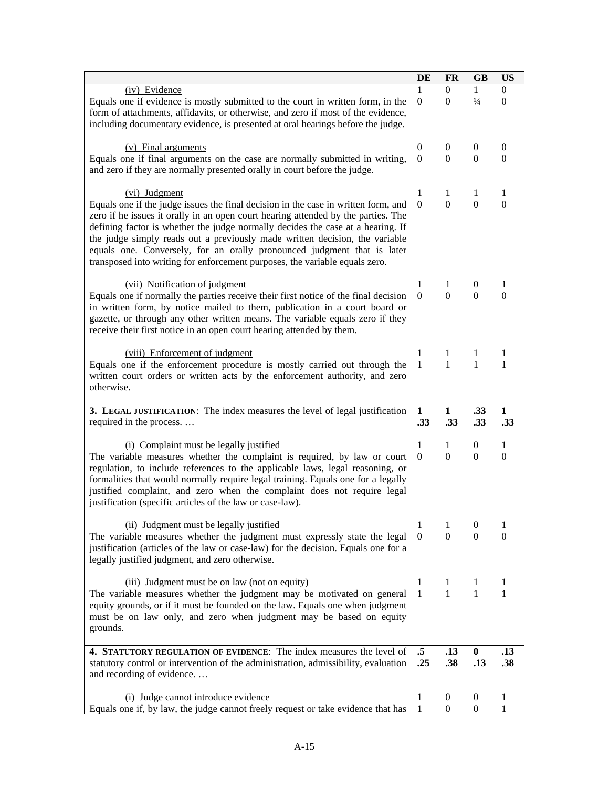|                                                                                                                                                                                                                                                                                                                                                                                                                                                                                                     | DE               | <b>FR</b>                | <b>GB</b>          | <b>US</b>                |
|-----------------------------------------------------------------------------------------------------------------------------------------------------------------------------------------------------------------------------------------------------------------------------------------------------------------------------------------------------------------------------------------------------------------------------------------------------------------------------------------------------|------------------|--------------------------|--------------------|--------------------------|
| (iv) Evidence<br>Equals one if evidence is mostly submitted to the court in written form, in the<br>form of attachments, affidavits, or otherwise, and zero if most of the evidence,<br>including documentary evidence, is presented at oral hearings before the judge.                                                                                                                                                                                                                             | $\overline{0}$   | $\Omega$<br>$\mathbf{0}$ | 1<br>$\frac{1}{4}$ | $\Omega$<br>$\mathbf{0}$ |
| (v) Final arguments                                                                                                                                                                                                                                                                                                                                                                                                                                                                                 | $\theta$         | $\theta$                 | $\overline{0}$     | $\boldsymbol{0}$         |
| Equals one if final arguments on the case are normally submitted in writing,<br>and zero if they are normally presented orally in court before the judge.                                                                                                                                                                                                                                                                                                                                           | $\Omega$         | $\Omega$                 | $\Omega$           | $\mathbf{0}$             |
| (vi) Judgment                                                                                                                                                                                                                                                                                                                                                                                                                                                                                       | 1                | 1                        | 1                  | 1                        |
| Equals one if the judge issues the final decision in the case in written form, and<br>zero if he issues it orally in an open court hearing attended by the parties. The<br>defining factor is whether the judge normally decides the case at a hearing. If<br>the judge simply reads out a previously made written decision, the variable<br>equals one. Conversely, for an orally pronounced judgment that is later<br>transposed into writing for enforcement purposes, the variable equals zero. | $\Omega$         | $\Omega$                 | $\mathbf{0}$       | $\mathbf{0}$             |
| (vii) Notification of judgment                                                                                                                                                                                                                                                                                                                                                                                                                                                                      | 1                | 1                        | $\theta$           | 1                        |
| Equals one if normally the parties receive their first notice of the final decision<br>in written form, by notice mailed to them, publication in a court board or<br>gazette, or through any other written means. The variable equals zero if they<br>receive their first notice in an open court hearing attended by them.                                                                                                                                                                         | $\overline{0}$   | $\Omega$                 | $\Omega$           | $\Omega$                 |
| (viii) Enforcement of judgment                                                                                                                                                                                                                                                                                                                                                                                                                                                                      | 1                | 1                        | 1                  | 1                        |
| Equals one if the enforcement procedure is mostly carried out through the<br>written court orders or written acts by the enforcement authority, and zero<br>otherwise.                                                                                                                                                                                                                                                                                                                              | $\mathbf{1}$     | $\mathbf{1}$             | $\mathbf{1}$       | 1                        |
| 3. LEGAL JUSTIFICATION: The index measures the level of legal justification<br>required in the process                                                                                                                                                                                                                                                                                                                                                                                              | 1<br>.33         | $\mathbf{1}$<br>.33      | .33<br>.33         | $\mathbf{1}$<br>.33      |
| (i) Complaint must be legally justified                                                                                                                                                                                                                                                                                                                                                                                                                                                             | 1                | 1                        | $\theta$           | 1                        |
| The variable measures whether the complaint is required, by law or court<br>regulation, to include references to the applicable laws, legal reasoning, or<br>formalities that would normally require legal training. Equals one for a legally<br>justified complaint, and zero when the complaint does not require legal<br>justification (specific articles of the law or case-law).                                                                                                               | $\overline{0}$   | $\mathbf{0}$             | $\overline{0}$     | $\theta$                 |
| (ii) Judgment must be legally justified                                                                                                                                                                                                                                                                                                                                                                                                                                                             | 1                | 1                        | $\boldsymbol{0}$   | 1                        |
| The variable measures whether the judgment must expressly state the legal<br>justification (articles of the law or case-law) for the decision. Equals one for a<br>legally justified judgment, and zero otherwise.                                                                                                                                                                                                                                                                                  | $\overline{0}$   | $\Omega$                 | $\mathbf{0}$       | $\theta$                 |
| (iii) Judgment must be on law (not on equity)                                                                                                                                                                                                                                                                                                                                                                                                                                                       | 1                | 1                        | 1                  | 1                        |
| The variable measures whether the judgment may be motivated on general<br>equity grounds, or if it must be founded on the law. Equals one when judgment<br>must be on law only, and zero when judgment may be based on equity<br>grounds.                                                                                                                                                                                                                                                           | 1                | $\mathbf{1}$             | 1                  | 1                        |
| 4. STATUTORY REGULATION OF EVIDENCE: The index measures the level of<br>statutory control or intervention of the administration, admissibility, evaluation<br>and recording of evidence                                                                                                                                                                                                                                                                                                             | $\cdot$ 5<br>.25 | .13<br>.38               | $\bf{0}$<br>.13    | .13<br>.38               |
| (i) Judge cannot introduce evidence                                                                                                                                                                                                                                                                                                                                                                                                                                                                 | 1                | $\theta$                 | $\boldsymbol{0}$   | 1                        |
| Equals one if, by law, the judge cannot freely request or take evidence that has                                                                                                                                                                                                                                                                                                                                                                                                                    | 1                | $\boldsymbol{0}$         | $\boldsymbol{0}$   | 1                        |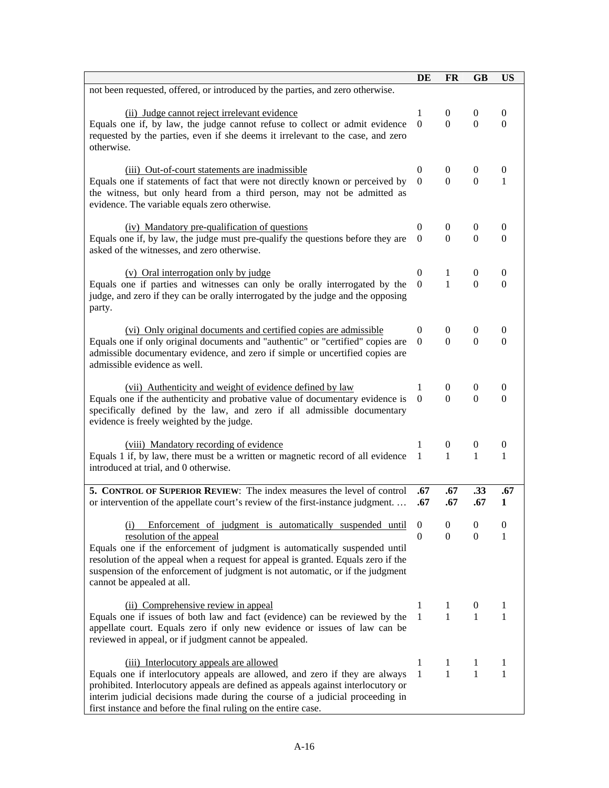|                                                                                                                                                                     | DE                   | <b>FR</b>                  | <b>GB</b>                          | <b>US</b>                    |
|---------------------------------------------------------------------------------------------------------------------------------------------------------------------|----------------------|----------------------------|------------------------------------|------------------------------|
| not been requested, offered, or introduced by the parties, and zero otherwise.                                                                                      |                      |                            |                                    |                              |
|                                                                                                                                                                     | 1                    |                            |                                    |                              |
| (ii) Judge cannot reject irrelevant evidence<br>Equals one if, by law, the judge cannot refuse to collect or admit evidence                                         | $\Omega$             | $\overline{0}$<br>$\Omega$ | $\overline{0}$<br>$\Omega$         | $\theta$<br>$\Omega$         |
| requested by the parties, even if she deems it irrelevant to the case, and zero                                                                                     |                      |                            |                                    |                              |
| otherwise.                                                                                                                                                          |                      |                            |                                    |                              |
|                                                                                                                                                                     |                      |                            |                                    |                              |
| (iii) Out-of-court statements are inadmissible                                                                                                                      | $\Omega$             | $\theta$                   | $\overline{0}$                     | 0                            |
| Equals one if statements of fact that were not directly known or perceived by                                                                                       | $\overline{0}$       | $\Omega$                   | $\Omega$                           | 1                            |
| the witness, but only heard from a third person, may not be admitted as<br>evidence. The variable equals zero otherwise.                                            |                      |                            |                                    |                              |
|                                                                                                                                                                     |                      |                            |                                    |                              |
| (iv) Mandatory pre-qualification of questions                                                                                                                       | $\overline{0}$       | $\overline{0}$             | $\theta$                           | $\boldsymbol{0}$             |
| Equals one if, by law, the judge must pre-qualify the questions before they are                                                                                     | $\Omega$             | $\Omega$                   | $\Omega$                           | $\Omega$                     |
| asked of the witnesses, and zero otherwise.                                                                                                                         |                      |                            |                                    |                              |
|                                                                                                                                                                     |                      |                            |                                    |                              |
| (v) Oral interrogation only by judge<br>Equals one if parties and witnesses can only be orally interrogated by the                                                  | $\theta$<br>$\Omega$ | 1<br>$\mathbf{1}$          | $\boldsymbol{0}$<br>$\overline{0}$ | $\boldsymbol{0}$<br>$\theta$ |
| judge, and zero if they can be orally interrogated by the judge and the opposing                                                                                    |                      |                            |                                    |                              |
| party.                                                                                                                                                              |                      |                            |                                    |                              |
|                                                                                                                                                                     |                      |                            |                                    |                              |
| (vi) Only original documents and certified copies are admissible                                                                                                    | $\theta$             | $\overline{0}$             | $\boldsymbol{0}$                   | $\boldsymbol{0}$             |
| Equals one if only original documents and "authentic" or "certified" copies are                                                                                     | $\Omega$             | $\Omega$                   | $\Omega$                           | $\Omega$                     |
| admissible documentary evidence, and zero if simple or uncertified copies are<br>admissible evidence as well.                                                       |                      |                            |                                    |                              |
|                                                                                                                                                                     |                      |                            |                                    |                              |
| (vii) Authenticity and weight of evidence defined by law                                                                                                            | 1                    | $\overline{0}$             | $\overline{0}$                     | $\boldsymbol{0}$             |
| Equals one if the authenticity and probative value of documentary evidence is                                                                                       | $\Omega$             | $\Omega$                   | $\Omega$                           | $\Omega$                     |
| specifically defined by the law, and zero if all admissible documentary                                                                                             |                      |                            |                                    |                              |
| evidence is freely weighted by the judge.                                                                                                                           |                      |                            |                                    |                              |
| (viii) Mandatory recording of evidence                                                                                                                              | 1                    | $\theta$                   | $\theta$                           | $\mathbf{0}$                 |
| Equals 1 if, by law, there must be a written or magnetic record of all evidence                                                                                     | 1                    | $\mathbf{1}$               | 1                                  | 1                            |
| introduced at trial, and 0 otherwise.                                                                                                                               |                      |                            |                                    |                              |
|                                                                                                                                                                     |                      |                            |                                    |                              |
| 5. CONTROL OF SUPERIOR REVIEW: The index measures the level of control<br>or intervention of the appellate court's review of the first-instance judgment            | .67<br>.67           | .67<br>.67                 | .33<br>.67                         | .67<br>1                     |
|                                                                                                                                                                     |                      |                            |                                    |                              |
| Enforcement of judgment is automatically suspended until<br>(i)                                                                                                     | $\boldsymbol{0}$     | $\boldsymbol{0}$           | $\overline{0}$                     | $\mathbf{0}$                 |
| resolution of the appeal                                                                                                                                            | 0                    | 0                          | $\mathbf{0}$                       | 1                            |
| Equals one if the enforcement of judgment is automatically suspended until                                                                                          |                      |                            |                                    |                              |
| resolution of the appeal when a request for appeal is granted. Equals zero if the<br>suspension of the enforcement of judgment is not automatic, or if the judgment |                      |                            |                                    |                              |
| cannot be appealed at all.                                                                                                                                          |                      |                            |                                    |                              |
|                                                                                                                                                                     |                      |                            |                                    |                              |
| (ii) Comprehensive review in appeal                                                                                                                                 | 1                    | 1                          | $\theta$                           | 1                            |
| Equals one if issues of both law and fact (evidence) can be reviewed by the                                                                                         | $\mathbf{1}$         | 1                          | 1                                  | 1                            |
| appellate court. Equals zero if only new evidence or issues of law can be<br>reviewed in appeal, or if judgment cannot be appealed.                                 |                      |                            |                                    |                              |
|                                                                                                                                                                     |                      |                            |                                    |                              |
| (iii) Interlocutory appeals are allowed                                                                                                                             | 1                    | 1                          | 1                                  | 1                            |
| Equals one if interlocutory appeals are allowed, and zero if they are always                                                                                        | 1                    | $\mathbf{1}$               | 1                                  | 1                            |
| prohibited. Interlocutory appeals are defined as appeals against interlocutory or                                                                                   |                      |                            |                                    |                              |
| interim judicial decisions made during the course of a judicial proceeding in<br>first instance and before the final ruling on the entire case.                     |                      |                            |                                    |                              |
|                                                                                                                                                                     |                      |                            |                                    |                              |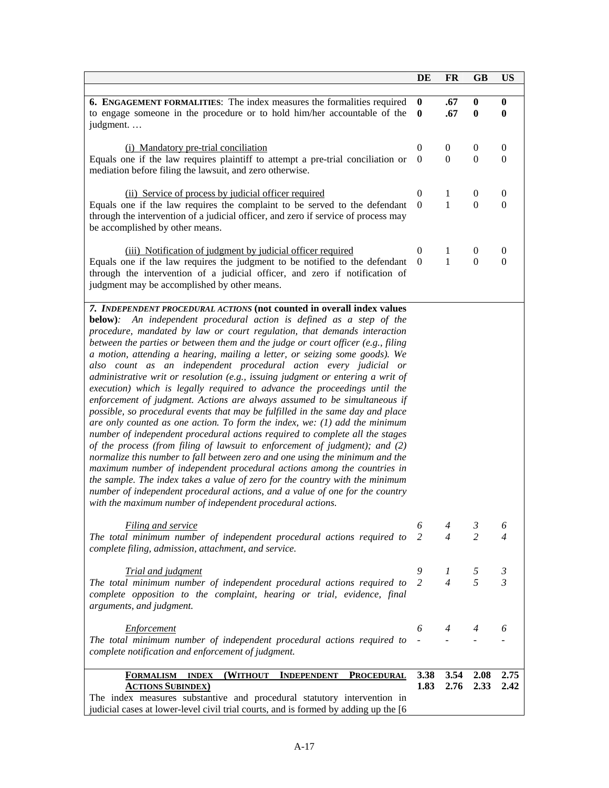| $\bf{0}$<br>.67<br>$\bf{0}$<br>6. ENGAGEMENT FORMALITIES: The index measures the formalities required<br>$\bf{0}$<br>to engage someone in the procedure or to hold him/her accountable of the<br>$\mathbf{0}$<br>.67<br>$\bf{0}$<br>$\mathbf{0}$<br>judgment<br>(i) Mandatory pre-trial conciliation<br>$\Omega$<br>$\boldsymbol{0}$<br>$\theta$<br>$\theta$<br>Equals one if the law requires plaintiff to attempt a pre-trial conciliation or<br>$\boldsymbol{0}$<br>$\mathbf{0}$<br>$\overline{0}$<br>$\overline{0}$<br>mediation before filing the lawsuit, and zero otherwise.<br>(ii) Service of process by judicial officer required<br>$\Omega$<br>1<br>$\theta$<br>$\boldsymbol{0}$<br>Equals one if the law requires the complaint to be served to the defendant<br>1<br>$\boldsymbol{0}$<br>$\overline{0}$<br>$\overline{0}$<br>through the intervention of a judicial officer, and zero if service of process may<br>be accomplished by other means.<br>(iii) Notification of judgment by judicial officer required<br>$\theta$<br>1<br>$\boldsymbol{0}$<br>$\boldsymbol{0}$<br>Equals one if the law requires the judgment to be notified to the defendant<br>1<br>$\overline{0}$<br>$\mathbf{0}$<br>$\overline{0}$<br>through the intervention of a judicial officer, and zero if notification of<br>judgment may be accomplished by other means.<br>7. INDEPENDENT PROCEDURAL ACTIONS (not counted in overall index values<br><b>below</b> ): An independent procedural action is defined as a step of the<br>procedure, mandated by law or court regulation, that demands interaction<br>between the parties or between them and the judge or court officer (e.g., filing<br>a motion, attending a hearing, mailing a letter, or seizing some goods). We<br>also count as an independent procedural action every judicial or<br>administrative writ or resolution (e.g., issuing judgment or entering a writ of<br>execution) which is legally required to advance the proceedings until the<br>enforcement of judgment. Actions are always assumed to be simultaneous if<br>possible, so procedural events that may be fulfilled in the same day and place<br>are only counted as one action. To form the index, we: $(1)$ add the minimum<br>number of independent procedural actions required to complete all the stages<br>of the process (from filing of lawsuit to enforcement of judgment); and (2)<br>normalize this number to fall between zero and one using the minimum and the<br>maximum number of independent procedural actions among the countries in<br>the sample. The index takes a value of zero for the country with the minimum<br>number of independent procedural actions, and a value of one for the country<br>with the maximum number of independent procedural actions.<br>6<br>$\mathfrak{Z}$<br>Filing and service<br>4<br>6<br>$\overline{c}$<br>2<br>4<br>The total minimum number of independent procedural actions required to<br>4<br>complete filing, admission, attachment, and service.<br>9<br><b>Trial and judgment</b><br>5<br>1<br>3<br>5<br>$\mathfrak{Z}$<br>$\overline{2}$<br>$\overline{4}$<br>The total minimum number of independent procedural actions required to<br>complete opposition to the complaint, hearing or trial, evidence, final<br>arguments, and judgment.<br><b>Enforcement</b><br>6<br>4<br>4<br>6<br>The total minimum number of independent procedural actions required to<br>complete notification and enforcement of judgment.<br>3.38<br>3.54<br>2.08<br>2.75<br><b>FORMALISM</b><br><b>INDEX</b><br>(WITHOUT<br><b>INDEPENDENT</b><br><b>PROCEDURAL</b><br>1.83<br>2.76<br>2.33<br>2.42<br><b>ACTIONS SUBINDEX)</b><br>The index measures substantive and procedural statutory intervention in<br>judicial cases at lower-level civil trial courts, and is formed by adding up the [6 | DE | FR | <b>GB</b> | US |
|-------------------------------------------------------------------------------------------------------------------------------------------------------------------------------------------------------------------------------------------------------------------------------------------------------------------------------------------------------------------------------------------------------------------------------------------------------------------------------------------------------------------------------------------------------------------------------------------------------------------------------------------------------------------------------------------------------------------------------------------------------------------------------------------------------------------------------------------------------------------------------------------------------------------------------------------------------------------------------------------------------------------------------------------------------------------------------------------------------------------------------------------------------------------------------------------------------------------------------------------------------------------------------------------------------------------------------------------------------------------------------------------------------------------------------------------------------------------------------------------------------------------------------------------------------------------------------------------------------------------------------------------------------------------------------------------------------------------------------------------------------------------------------------------------------------------------------------------------------------------------------------------------------------------------------------------------------------------------------------------------------------------------------------------------------------------------------------------------------------------------------------------------------------------------------------------------------------------------------------------------------------------------------------------------------------------------------------------------------------------------------------------------------------------------------------------------------------------------------------------------------------------------------------------------------------------------------------------------------------------------------------------------------------------------------------------------------------------------------------------------------------------------------------------------------------------------------------------------------------------------------------------------------------------------------------------------------------------------------------------------------------------------------------------------------------------------------------------------------------------------------------------------------------------------------------------------------------------------------------------------------------------------------------------------------------------------------------------------------------------------------------------------------------------------------------------------------------------------------------------------------------------------------------------------------------------------------------------------------------------------------------------------------------------------------------------------------------------------------------------------------------------------------------------------------------------------------------------------------------------------------|----|----|-----------|----|
|                                                                                                                                                                                                                                                                                                                                                                                                                                                                                                                                                                                                                                                                                                                                                                                                                                                                                                                                                                                                                                                                                                                                                                                                                                                                                                                                                                                                                                                                                                                                                                                                                                                                                                                                                                                                                                                                                                                                                                                                                                                                                                                                                                                                                                                                                                                                                                                                                                                                                                                                                                                                                                                                                                                                                                                                                                                                                                                                                                                                                                                                                                                                                                                                                                                                                                                                                                                                                                                                                                                                                                                                                                                                                                                                                                                                                                                                               |    |    |           |    |
|                                                                                                                                                                                                                                                                                                                                                                                                                                                                                                                                                                                                                                                                                                                                                                                                                                                                                                                                                                                                                                                                                                                                                                                                                                                                                                                                                                                                                                                                                                                                                                                                                                                                                                                                                                                                                                                                                                                                                                                                                                                                                                                                                                                                                                                                                                                                                                                                                                                                                                                                                                                                                                                                                                                                                                                                                                                                                                                                                                                                                                                                                                                                                                                                                                                                                                                                                                                                                                                                                                                                                                                                                                                                                                                                                                                                                                                                               |    |    |           |    |
|                                                                                                                                                                                                                                                                                                                                                                                                                                                                                                                                                                                                                                                                                                                                                                                                                                                                                                                                                                                                                                                                                                                                                                                                                                                                                                                                                                                                                                                                                                                                                                                                                                                                                                                                                                                                                                                                                                                                                                                                                                                                                                                                                                                                                                                                                                                                                                                                                                                                                                                                                                                                                                                                                                                                                                                                                                                                                                                                                                                                                                                                                                                                                                                                                                                                                                                                                                                                                                                                                                                                                                                                                                                                                                                                                                                                                                                                               |    |    |           |    |
|                                                                                                                                                                                                                                                                                                                                                                                                                                                                                                                                                                                                                                                                                                                                                                                                                                                                                                                                                                                                                                                                                                                                                                                                                                                                                                                                                                                                                                                                                                                                                                                                                                                                                                                                                                                                                                                                                                                                                                                                                                                                                                                                                                                                                                                                                                                                                                                                                                                                                                                                                                                                                                                                                                                                                                                                                                                                                                                                                                                                                                                                                                                                                                                                                                                                                                                                                                                                                                                                                                                                                                                                                                                                                                                                                                                                                                                                               |    |    |           |    |
|                                                                                                                                                                                                                                                                                                                                                                                                                                                                                                                                                                                                                                                                                                                                                                                                                                                                                                                                                                                                                                                                                                                                                                                                                                                                                                                                                                                                                                                                                                                                                                                                                                                                                                                                                                                                                                                                                                                                                                                                                                                                                                                                                                                                                                                                                                                                                                                                                                                                                                                                                                                                                                                                                                                                                                                                                                                                                                                                                                                                                                                                                                                                                                                                                                                                                                                                                                                                                                                                                                                                                                                                                                                                                                                                                                                                                                                                               |    |    |           |    |
|                                                                                                                                                                                                                                                                                                                                                                                                                                                                                                                                                                                                                                                                                                                                                                                                                                                                                                                                                                                                                                                                                                                                                                                                                                                                                                                                                                                                                                                                                                                                                                                                                                                                                                                                                                                                                                                                                                                                                                                                                                                                                                                                                                                                                                                                                                                                                                                                                                                                                                                                                                                                                                                                                                                                                                                                                                                                                                                                                                                                                                                                                                                                                                                                                                                                                                                                                                                                                                                                                                                                                                                                                                                                                                                                                                                                                                                                               |    |    |           |    |
|                                                                                                                                                                                                                                                                                                                                                                                                                                                                                                                                                                                                                                                                                                                                                                                                                                                                                                                                                                                                                                                                                                                                                                                                                                                                                                                                                                                                                                                                                                                                                                                                                                                                                                                                                                                                                                                                                                                                                                                                                                                                                                                                                                                                                                                                                                                                                                                                                                                                                                                                                                                                                                                                                                                                                                                                                                                                                                                                                                                                                                                                                                                                                                                                                                                                                                                                                                                                                                                                                                                                                                                                                                                                                                                                                                                                                                                                               |    |    |           |    |
|                                                                                                                                                                                                                                                                                                                                                                                                                                                                                                                                                                                                                                                                                                                                                                                                                                                                                                                                                                                                                                                                                                                                                                                                                                                                                                                                                                                                                                                                                                                                                                                                                                                                                                                                                                                                                                                                                                                                                                                                                                                                                                                                                                                                                                                                                                                                                                                                                                                                                                                                                                                                                                                                                                                                                                                                                                                                                                                                                                                                                                                                                                                                                                                                                                                                                                                                                                                                                                                                                                                                                                                                                                                                                                                                                                                                                                                                               |    |    |           |    |
|                                                                                                                                                                                                                                                                                                                                                                                                                                                                                                                                                                                                                                                                                                                                                                                                                                                                                                                                                                                                                                                                                                                                                                                                                                                                                                                                                                                                                                                                                                                                                                                                                                                                                                                                                                                                                                                                                                                                                                                                                                                                                                                                                                                                                                                                                                                                                                                                                                                                                                                                                                                                                                                                                                                                                                                                                                                                                                                                                                                                                                                                                                                                                                                                                                                                                                                                                                                                                                                                                                                                                                                                                                                                                                                                                                                                                                                                               |    |    |           |    |
|                                                                                                                                                                                                                                                                                                                                                                                                                                                                                                                                                                                                                                                                                                                                                                                                                                                                                                                                                                                                                                                                                                                                                                                                                                                                                                                                                                                                                                                                                                                                                                                                                                                                                                                                                                                                                                                                                                                                                                                                                                                                                                                                                                                                                                                                                                                                                                                                                                                                                                                                                                                                                                                                                                                                                                                                                                                                                                                                                                                                                                                                                                                                                                                                                                                                                                                                                                                                                                                                                                                                                                                                                                                                                                                                                                                                                                                                               |    |    |           |    |
|                                                                                                                                                                                                                                                                                                                                                                                                                                                                                                                                                                                                                                                                                                                                                                                                                                                                                                                                                                                                                                                                                                                                                                                                                                                                                                                                                                                                                                                                                                                                                                                                                                                                                                                                                                                                                                                                                                                                                                                                                                                                                                                                                                                                                                                                                                                                                                                                                                                                                                                                                                                                                                                                                                                                                                                                                                                                                                                                                                                                                                                                                                                                                                                                                                                                                                                                                                                                                                                                                                                                                                                                                                                                                                                                                                                                                                                                               |    |    |           |    |
|                                                                                                                                                                                                                                                                                                                                                                                                                                                                                                                                                                                                                                                                                                                                                                                                                                                                                                                                                                                                                                                                                                                                                                                                                                                                                                                                                                                                                                                                                                                                                                                                                                                                                                                                                                                                                                                                                                                                                                                                                                                                                                                                                                                                                                                                                                                                                                                                                                                                                                                                                                                                                                                                                                                                                                                                                                                                                                                                                                                                                                                                                                                                                                                                                                                                                                                                                                                                                                                                                                                                                                                                                                                                                                                                                                                                                                                                               |    |    |           |    |
|                                                                                                                                                                                                                                                                                                                                                                                                                                                                                                                                                                                                                                                                                                                                                                                                                                                                                                                                                                                                                                                                                                                                                                                                                                                                                                                                                                                                                                                                                                                                                                                                                                                                                                                                                                                                                                                                                                                                                                                                                                                                                                                                                                                                                                                                                                                                                                                                                                                                                                                                                                                                                                                                                                                                                                                                                                                                                                                                                                                                                                                                                                                                                                                                                                                                                                                                                                                                                                                                                                                                                                                                                                                                                                                                                                                                                                                                               |    |    |           |    |
|                                                                                                                                                                                                                                                                                                                                                                                                                                                                                                                                                                                                                                                                                                                                                                                                                                                                                                                                                                                                                                                                                                                                                                                                                                                                                                                                                                                                                                                                                                                                                                                                                                                                                                                                                                                                                                                                                                                                                                                                                                                                                                                                                                                                                                                                                                                                                                                                                                                                                                                                                                                                                                                                                                                                                                                                                                                                                                                                                                                                                                                                                                                                                                                                                                                                                                                                                                                                                                                                                                                                                                                                                                                                                                                                                                                                                                                                               |    |    |           |    |
|                                                                                                                                                                                                                                                                                                                                                                                                                                                                                                                                                                                                                                                                                                                                                                                                                                                                                                                                                                                                                                                                                                                                                                                                                                                                                                                                                                                                                                                                                                                                                                                                                                                                                                                                                                                                                                                                                                                                                                                                                                                                                                                                                                                                                                                                                                                                                                                                                                                                                                                                                                                                                                                                                                                                                                                                                                                                                                                                                                                                                                                                                                                                                                                                                                                                                                                                                                                                                                                                                                                                                                                                                                                                                                                                                                                                                                                                               |    |    |           |    |
|                                                                                                                                                                                                                                                                                                                                                                                                                                                                                                                                                                                                                                                                                                                                                                                                                                                                                                                                                                                                                                                                                                                                                                                                                                                                                                                                                                                                                                                                                                                                                                                                                                                                                                                                                                                                                                                                                                                                                                                                                                                                                                                                                                                                                                                                                                                                                                                                                                                                                                                                                                                                                                                                                                                                                                                                                                                                                                                                                                                                                                                                                                                                                                                                                                                                                                                                                                                                                                                                                                                                                                                                                                                                                                                                                                                                                                                                               |    |    |           |    |
|                                                                                                                                                                                                                                                                                                                                                                                                                                                                                                                                                                                                                                                                                                                                                                                                                                                                                                                                                                                                                                                                                                                                                                                                                                                                                                                                                                                                                                                                                                                                                                                                                                                                                                                                                                                                                                                                                                                                                                                                                                                                                                                                                                                                                                                                                                                                                                                                                                                                                                                                                                                                                                                                                                                                                                                                                                                                                                                                                                                                                                                                                                                                                                                                                                                                                                                                                                                                                                                                                                                                                                                                                                                                                                                                                                                                                                                                               |    |    |           |    |
|                                                                                                                                                                                                                                                                                                                                                                                                                                                                                                                                                                                                                                                                                                                                                                                                                                                                                                                                                                                                                                                                                                                                                                                                                                                                                                                                                                                                                                                                                                                                                                                                                                                                                                                                                                                                                                                                                                                                                                                                                                                                                                                                                                                                                                                                                                                                                                                                                                                                                                                                                                                                                                                                                                                                                                                                                                                                                                                                                                                                                                                                                                                                                                                                                                                                                                                                                                                                                                                                                                                                                                                                                                                                                                                                                                                                                                                                               |    |    |           |    |
|                                                                                                                                                                                                                                                                                                                                                                                                                                                                                                                                                                                                                                                                                                                                                                                                                                                                                                                                                                                                                                                                                                                                                                                                                                                                                                                                                                                                                                                                                                                                                                                                                                                                                                                                                                                                                                                                                                                                                                                                                                                                                                                                                                                                                                                                                                                                                                                                                                                                                                                                                                                                                                                                                                                                                                                                                                                                                                                                                                                                                                                                                                                                                                                                                                                                                                                                                                                                                                                                                                                                                                                                                                                                                                                                                                                                                                                                               |    |    |           |    |
|                                                                                                                                                                                                                                                                                                                                                                                                                                                                                                                                                                                                                                                                                                                                                                                                                                                                                                                                                                                                                                                                                                                                                                                                                                                                                                                                                                                                                                                                                                                                                                                                                                                                                                                                                                                                                                                                                                                                                                                                                                                                                                                                                                                                                                                                                                                                                                                                                                                                                                                                                                                                                                                                                                                                                                                                                                                                                                                                                                                                                                                                                                                                                                                                                                                                                                                                                                                                                                                                                                                                                                                                                                                                                                                                                                                                                                                                               |    |    |           |    |
|                                                                                                                                                                                                                                                                                                                                                                                                                                                                                                                                                                                                                                                                                                                                                                                                                                                                                                                                                                                                                                                                                                                                                                                                                                                                                                                                                                                                                                                                                                                                                                                                                                                                                                                                                                                                                                                                                                                                                                                                                                                                                                                                                                                                                                                                                                                                                                                                                                                                                                                                                                                                                                                                                                                                                                                                                                                                                                                                                                                                                                                                                                                                                                                                                                                                                                                                                                                                                                                                                                                                                                                                                                                                                                                                                                                                                                                                               |    |    |           |    |
|                                                                                                                                                                                                                                                                                                                                                                                                                                                                                                                                                                                                                                                                                                                                                                                                                                                                                                                                                                                                                                                                                                                                                                                                                                                                                                                                                                                                                                                                                                                                                                                                                                                                                                                                                                                                                                                                                                                                                                                                                                                                                                                                                                                                                                                                                                                                                                                                                                                                                                                                                                                                                                                                                                                                                                                                                                                                                                                                                                                                                                                                                                                                                                                                                                                                                                                                                                                                                                                                                                                                                                                                                                                                                                                                                                                                                                                                               |    |    |           |    |
|                                                                                                                                                                                                                                                                                                                                                                                                                                                                                                                                                                                                                                                                                                                                                                                                                                                                                                                                                                                                                                                                                                                                                                                                                                                                                                                                                                                                                                                                                                                                                                                                                                                                                                                                                                                                                                                                                                                                                                                                                                                                                                                                                                                                                                                                                                                                                                                                                                                                                                                                                                                                                                                                                                                                                                                                                                                                                                                                                                                                                                                                                                                                                                                                                                                                                                                                                                                                                                                                                                                                                                                                                                                                                                                                                                                                                                                                               |    |    |           |    |
|                                                                                                                                                                                                                                                                                                                                                                                                                                                                                                                                                                                                                                                                                                                                                                                                                                                                                                                                                                                                                                                                                                                                                                                                                                                                                                                                                                                                                                                                                                                                                                                                                                                                                                                                                                                                                                                                                                                                                                                                                                                                                                                                                                                                                                                                                                                                                                                                                                                                                                                                                                                                                                                                                                                                                                                                                                                                                                                                                                                                                                                                                                                                                                                                                                                                                                                                                                                                                                                                                                                                                                                                                                                                                                                                                                                                                                                                               |    |    |           |    |
|                                                                                                                                                                                                                                                                                                                                                                                                                                                                                                                                                                                                                                                                                                                                                                                                                                                                                                                                                                                                                                                                                                                                                                                                                                                                                                                                                                                                                                                                                                                                                                                                                                                                                                                                                                                                                                                                                                                                                                                                                                                                                                                                                                                                                                                                                                                                                                                                                                                                                                                                                                                                                                                                                                                                                                                                                                                                                                                                                                                                                                                                                                                                                                                                                                                                                                                                                                                                                                                                                                                                                                                                                                                                                                                                                                                                                                                                               |    |    |           |    |
|                                                                                                                                                                                                                                                                                                                                                                                                                                                                                                                                                                                                                                                                                                                                                                                                                                                                                                                                                                                                                                                                                                                                                                                                                                                                                                                                                                                                                                                                                                                                                                                                                                                                                                                                                                                                                                                                                                                                                                                                                                                                                                                                                                                                                                                                                                                                                                                                                                                                                                                                                                                                                                                                                                                                                                                                                                                                                                                                                                                                                                                                                                                                                                                                                                                                                                                                                                                                                                                                                                                                                                                                                                                                                                                                                                                                                                                                               |    |    |           |    |
|                                                                                                                                                                                                                                                                                                                                                                                                                                                                                                                                                                                                                                                                                                                                                                                                                                                                                                                                                                                                                                                                                                                                                                                                                                                                                                                                                                                                                                                                                                                                                                                                                                                                                                                                                                                                                                                                                                                                                                                                                                                                                                                                                                                                                                                                                                                                                                                                                                                                                                                                                                                                                                                                                                                                                                                                                                                                                                                                                                                                                                                                                                                                                                                                                                                                                                                                                                                                                                                                                                                                                                                                                                                                                                                                                                                                                                                                               |    |    |           |    |
|                                                                                                                                                                                                                                                                                                                                                                                                                                                                                                                                                                                                                                                                                                                                                                                                                                                                                                                                                                                                                                                                                                                                                                                                                                                                                                                                                                                                                                                                                                                                                                                                                                                                                                                                                                                                                                                                                                                                                                                                                                                                                                                                                                                                                                                                                                                                                                                                                                                                                                                                                                                                                                                                                                                                                                                                                                                                                                                                                                                                                                                                                                                                                                                                                                                                                                                                                                                                                                                                                                                                                                                                                                                                                                                                                                                                                                                                               |    |    |           |    |
|                                                                                                                                                                                                                                                                                                                                                                                                                                                                                                                                                                                                                                                                                                                                                                                                                                                                                                                                                                                                                                                                                                                                                                                                                                                                                                                                                                                                                                                                                                                                                                                                                                                                                                                                                                                                                                                                                                                                                                                                                                                                                                                                                                                                                                                                                                                                                                                                                                                                                                                                                                                                                                                                                                                                                                                                                                                                                                                                                                                                                                                                                                                                                                                                                                                                                                                                                                                                                                                                                                                                                                                                                                                                                                                                                                                                                                                                               |    |    |           |    |
|                                                                                                                                                                                                                                                                                                                                                                                                                                                                                                                                                                                                                                                                                                                                                                                                                                                                                                                                                                                                                                                                                                                                                                                                                                                                                                                                                                                                                                                                                                                                                                                                                                                                                                                                                                                                                                                                                                                                                                                                                                                                                                                                                                                                                                                                                                                                                                                                                                                                                                                                                                                                                                                                                                                                                                                                                                                                                                                                                                                                                                                                                                                                                                                                                                                                                                                                                                                                                                                                                                                                                                                                                                                                                                                                                                                                                                                                               |    |    |           |    |
|                                                                                                                                                                                                                                                                                                                                                                                                                                                                                                                                                                                                                                                                                                                                                                                                                                                                                                                                                                                                                                                                                                                                                                                                                                                                                                                                                                                                                                                                                                                                                                                                                                                                                                                                                                                                                                                                                                                                                                                                                                                                                                                                                                                                                                                                                                                                                                                                                                                                                                                                                                                                                                                                                                                                                                                                                                                                                                                                                                                                                                                                                                                                                                                                                                                                                                                                                                                                                                                                                                                                                                                                                                                                                                                                                                                                                                                                               |    |    |           |    |
|                                                                                                                                                                                                                                                                                                                                                                                                                                                                                                                                                                                                                                                                                                                                                                                                                                                                                                                                                                                                                                                                                                                                                                                                                                                                                                                                                                                                                                                                                                                                                                                                                                                                                                                                                                                                                                                                                                                                                                                                                                                                                                                                                                                                                                                                                                                                                                                                                                                                                                                                                                                                                                                                                                                                                                                                                                                                                                                                                                                                                                                                                                                                                                                                                                                                                                                                                                                                                                                                                                                                                                                                                                                                                                                                                                                                                                                                               |    |    |           |    |
|                                                                                                                                                                                                                                                                                                                                                                                                                                                                                                                                                                                                                                                                                                                                                                                                                                                                                                                                                                                                                                                                                                                                                                                                                                                                                                                                                                                                                                                                                                                                                                                                                                                                                                                                                                                                                                                                                                                                                                                                                                                                                                                                                                                                                                                                                                                                                                                                                                                                                                                                                                                                                                                                                                                                                                                                                                                                                                                                                                                                                                                                                                                                                                                                                                                                                                                                                                                                                                                                                                                                                                                                                                                                                                                                                                                                                                                                               |    |    |           |    |
|                                                                                                                                                                                                                                                                                                                                                                                                                                                                                                                                                                                                                                                                                                                                                                                                                                                                                                                                                                                                                                                                                                                                                                                                                                                                                                                                                                                                                                                                                                                                                                                                                                                                                                                                                                                                                                                                                                                                                                                                                                                                                                                                                                                                                                                                                                                                                                                                                                                                                                                                                                                                                                                                                                                                                                                                                                                                                                                                                                                                                                                                                                                                                                                                                                                                                                                                                                                                                                                                                                                                                                                                                                                                                                                                                                                                                                                                               |    |    |           |    |
|                                                                                                                                                                                                                                                                                                                                                                                                                                                                                                                                                                                                                                                                                                                                                                                                                                                                                                                                                                                                                                                                                                                                                                                                                                                                                                                                                                                                                                                                                                                                                                                                                                                                                                                                                                                                                                                                                                                                                                                                                                                                                                                                                                                                                                                                                                                                                                                                                                                                                                                                                                                                                                                                                                                                                                                                                                                                                                                                                                                                                                                                                                                                                                                                                                                                                                                                                                                                                                                                                                                                                                                                                                                                                                                                                                                                                                                                               |    |    |           |    |
|                                                                                                                                                                                                                                                                                                                                                                                                                                                                                                                                                                                                                                                                                                                                                                                                                                                                                                                                                                                                                                                                                                                                                                                                                                                                                                                                                                                                                                                                                                                                                                                                                                                                                                                                                                                                                                                                                                                                                                                                                                                                                                                                                                                                                                                                                                                                                                                                                                                                                                                                                                                                                                                                                                                                                                                                                                                                                                                                                                                                                                                                                                                                                                                                                                                                                                                                                                                                                                                                                                                                                                                                                                                                                                                                                                                                                                                                               |    |    |           |    |
|                                                                                                                                                                                                                                                                                                                                                                                                                                                                                                                                                                                                                                                                                                                                                                                                                                                                                                                                                                                                                                                                                                                                                                                                                                                                                                                                                                                                                                                                                                                                                                                                                                                                                                                                                                                                                                                                                                                                                                                                                                                                                                                                                                                                                                                                                                                                                                                                                                                                                                                                                                                                                                                                                                                                                                                                                                                                                                                                                                                                                                                                                                                                                                                                                                                                                                                                                                                                                                                                                                                                                                                                                                                                                                                                                                                                                                                                               |    |    |           |    |
|                                                                                                                                                                                                                                                                                                                                                                                                                                                                                                                                                                                                                                                                                                                                                                                                                                                                                                                                                                                                                                                                                                                                                                                                                                                                                                                                                                                                                                                                                                                                                                                                                                                                                                                                                                                                                                                                                                                                                                                                                                                                                                                                                                                                                                                                                                                                                                                                                                                                                                                                                                                                                                                                                                                                                                                                                                                                                                                                                                                                                                                                                                                                                                                                                                                                                                                                                                                                                                                                                                                                                                                                                                                                                                                                                                                                                                                                               |    |    |           |    |
|                                                                                                                                                                                                                                                                                                                                                                                                                                                                                                                                                                                                                                                                                                                                                                                                                                                                                                                                                                                                                                                                                                                                                                                                                                                                                                                                                                                                                                                                                                                                                                                                                                                                                                                                                                                                                                                                                                                                                                                                                                                                                                                                                                                                                                                                                                                                                                                                                                                                                                                                                                                                                                                                                                                                                                                                                                                                                                                                                                                                                                                                                                                                                                                                                                                                                                                                                                                                                                                                                                                                                                                                                                                                                                                                                                                                                                                                               |    |    |           |    |
|                                                                                                                                                                                                                                                                                                                                                                                                                                                                                                                                                                                                                                                                                                                                                                                                                                                                                                                                                                                                                                                                                                                                                                                                                                                                                                                                                                                                                                                                                                                                                                                                                                                                                                                                                                                                                                                                                                                                                                                                                                                                                                                                                                                                                                                                                                                                                                                                                                                                                                                                                                                                                                                                                                                                                                                                                                                                                                                                                                                                                                                                                                                                                                                                                                                                                                                                                                                                                                                                                                                                                                                                                                                                                                                                                                                                                                                                               |    |    |           |    |
|                                                                                                                                                                                                                                                                                                                                                                                                                                                                                                                                                                                                                                                                                                                                                                                                                                                                                                                                                                                                                                                                                                                                                                                                                                                                                                                                                                                                                                                                                                                                                                                                                                                                                                                                                                                                                                                                                                                                                                                                                                                                                                                                                                                                                                                                                                                                                                                                                                                                                                                                                                                                                                                                                                                                                                                                                                                                                                                                                                                                                                                                                                                                                                                                                                                                                                                                                                                                                                                                                                                                                                                                                                                                                                                                                                                                                                                                               |    |    |           |    |
|                                                                                                                                                                                                                                                                                                                                                                                                                                                                                                                                                                                                                                                                                                                                                                                                                                                                                                                                                                                                                                                                                                                                                                                                                                                                                                                                                                                                                                                                                                                                                                                                                                                                                                                                                                                                                                                                                                                                                                                                                                                                                                                                                                                                                                                                                                                                                                                                                                                                                                                                                                                                                                                                                                                                                                                                                                                                                                                                                                                                                                                                                                                                                                                                                                                                                                                                                                                                                                                                                                                                                                                                                                                                                                                                                                                                                                                                               |    |    |           |    |
|                                                                                                                                                                                                                                                                                                                                                                                                                                                                                                                                                                                                                                                                                                                                                                                                                                                                                                                                                                                                                                                                                                                                                                                                                                                                                                                                                                                                                                                                                                                                                                                                                                                                                                                                                                                                                                                                                                                                                                                                                                                                                                                                                                                                                                                                                                                                                                                                                                                                                                                                                                                                                                                                                                                                                                                                                                                                                                                                                                                                                                                                                                                                                                                                                                                                                                                                                                                                                                                                                                                                                                                                                                                                                                                                                                                                                                                                               |    |    |           |    |
|                                                                                                                                                                                                                                                                                                                                                                                                                                                                                                                                                                                                                                                                                                                                                                                                                                                                                                                                                                                                                                                                                                                                                                                                                                                                                                                                                                                                                                                                                                                                                                                                                                                                                                                                                                                                                                                                                                                                                                                                                                                                                                                                                                                                                                                                                                                                                                                                                                                                                                                                                                                                                                                                                                                                                                                                                                                                                                                                                                                                                                                                                                                                                                                                                                                                                                                                                                                                                                                                                                                                                                                                                                                                                                                                                                                                                                                                               |    |    |           |    |
|                                                                                                                                                                                                                                                                                                                                                                                                                                                                                                                                                                                                                                                                                                                                                                                                                                                                                                                                                                                                                                                                                                                                                                                                                                                                                                                                                                                                                                                                                                                                                                                                                                                                                                                                                                                                                                                                                                                                                                                                                                                                                                                                                                                                                                                                                                                                                                                                                                                                                                                                                                                                                                                                                                                                                                                                                                                                                                                                                                                                                                                                                                                                                                                                                                                                                                                                                                                                                                                                                                                                                                                                                                                                                                                                                                                                                                                                               |    |    |           |    |
|                                                                                                                                                                                                                                                                                                                                                                                                                                                                                                                                                                                                                                                                                                                                                                                                                                                                                                                                                                                                                                                                                                                                                                                                                                                                                                                                                                                                                                                                                                                                                                                                                                                                                                                                                                                                                                                                                                                                                                                                                                                                                                                                                                                                                                                                                                                                                                                                                                                                                                                                                                                                                                                                                                                                                                                                                                                                                                                                                                                                                                                                                                                                                                                                                                                                                                                                                                                                                                                                                                                                                                                                                                                                                                                                                                                                                                                                               |    |    |           |    |
|                                                                                                                                                                                                                                                                                                                                                                                                                                                                                                                                                                                                                                                                                                                                                                                                                                                                                                                                                                                                                                                                                                                                                                                                                                                                                                                                                                                                                                                                                                                                                                                                                                                                                                                                                                                                                                                                                                                                                                                                                                                                                                                                                                                                                                                                                                                                                                                                                                                                                                                                                                                                                                                                                                                                                                                                                                                                                                                                                                                                                                                                                                                                                                                                                                                                                                                                                                                                                                                                                                                                                                                                                                                                                                                                                                                                                                                                               |    |    |           |    |